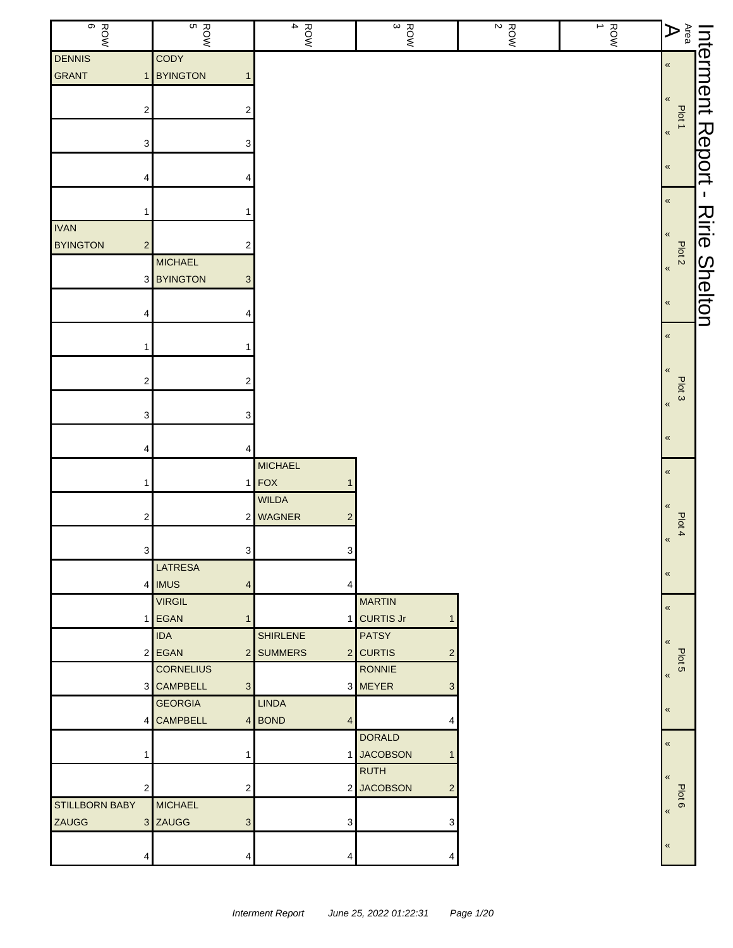| ROW<br>B                          | ROW<br>B                                     | $\frac{1}{4}$              | $\frac{R_{\text{QNN}}}{3}$   | $\begin{array}{c}\n\hline\n\downarrow \\ 2 \\ 2\n\end{array}$ | ROW<br>1 | $A$ rea                       | Interment      |
|-----------------------------------|----------------------------------------------|----------------------------|------------------------------|---------------------------------------------------------------|----------|-------------------------------|----------------|
| <b>DENNIS</b>                     | <b>CODY</b>                                  |                            |                              |                                                               |          |                               |                |
| GRANT<br>1                        | <b>BYINGTON</b><br>$\mathbf{1}$              |                            |                              |                                                               |          | $\pmb{\ll}$                   |                |
|                                   |                                              |                            |                              |                                                               |          | $\pmb{\ll}$                   |                |
| 2                                 | 2                                            |                            |                              |                                                               |          |                               |                |
|                                   |                                              |                            |                              |                                                               |          | Plot 1<br>$\pmb{\kappa}$      |                |
| 3                                 | 3                                            |                            |                              |                                                               |          |                               |                |
|                                   |                                              |                            |                              |                                                               |          | $\pmb{\langle} \pmb{\langle}$ | Report         |
| 4                                 | 4                                            |                            |                              |                                                               |          |                               |                |
|                                   |                                              |                            |                              |                                                               |          | $\pmb{\ll}$                   | $\mathbf{I}$   |
| 1                                 |                                              |                            |                              |                                                               |          |                               |                |
| <b>IVAN</b>                       |                                              |                            |                              |                                                               |          | «                             | Ririe          |
| <b>BYINGTON</b><br>$\overline{c}$ | 2                                            |                            |                              |                                                               |          | Plot <sub>2</sub>             |                |
|                                   | <b>MICHAEL</b>                               |                            |                              |                                                               |          | $\pmb{\alpha}$                |                |
| 3                                 | <b>BYINGTON</b><br>$\ensuremath{\mathsf{3}}$ |                            |                              |                                                               |          |                               |                |
| 4                                 | 4                                            |                            |                              |                                                               |          | $\pmb{\langle}$               | <b>Shelton</b> |
|                                   |                                              |                            |                              |                                                               |          |                               |                |
|                                   |                                              |                            |                              |                                                               |          | $\pmb{\ll}$                   |                |
|                                   |                                              |                            |                              |                                                               |          |                               |                |
| $\overline{\mathbf{c}}$           | $\mathbf 2$                                  |                            |                              |                                                               |          | $\pmb{\ll}$                   |                |
|                                   |                                              |                            |                              |                                                               |          | Plot 3<br>$\pmb{\kappa}$      |                |
| 3                                 | 3                                            |                            |                              |                                                               |          |                               |                |
|                                   |                                              |                            |                              |                                                               |          | $\pmb{\ll}$                   |                |
| 4                                 | 4                                            |                            |                              |                                                               |          |                               |                |
|                                   |                                              | <b>MICHAEL</b>             |                              |                                                               |          | $\pmb{\ll}$                   |                |
| 1                                 |                                              | $1$ FOX                    |                              |                                                               |          |                               |                |
|                                   |                                              | WILDA                      |                              |                                                               |          | $\pmb{\ll}$                   |                |
| $\overline{\mathbf{c}}$           |                                              | 2 WAGNER<br>$\overline{c}$ |                              |                                                               |          | Plot 4                        |                |
|                                   |                                              |                            |                              |                                                               |          | $\pmb{\kappa}$                |                |
| $\mathbf{3}$                      | 3 <sup>1</sup>                               | $\mathbf{3}$               |                              |                                                               |          |                               |                |
|                                   | <b>LATRESA</b>                               |                            |                              |                                                               |          | $\pmb{\ll}$                   |                |
| 4                                 | <b>IMUS</b><br>$\overline{4}$                | 4                          |                              |                                                               |          |                               |                |
|                                   | <b>VIRGIL</b><br>1 EGAN<br>$\mathbf{1}$      |                            | <b>MARTIN</b><br>1 CURTIS Jr |                                                               |          | $\pmb{\kappa}$                |                |
|                                   | <b>IDA</b>                                   | <b>SHIRLENE</b>            | <b>PATSY</b>                 |                                                               |          |                               |                |
|                                   | 2 EGAN                                       | 2 SUMMERS                  | 2 CURTIS<br>2                |                                                               |          | $\pmb{\langle}$               |                |
|                                   | <b>CORNELIUS</b>                             |                            | RONNIE                       |                                                               |          | Plot 5                        |                |
|                                   | 3 CAMPBELL<br>$3\phantom{.0}$                |                            | 3 MEYER<br>3                 |                                                               |          | $\pmb{\kappa}$                |                |
|                                   | <b>GEORGIA</b>                               | <b>LINDA</b>               |                              |                                                               |          |                               |                |
| 4                                 | <b>CAMPBELL</b>                              | 4 BOND<br>4                | 4                            |                                                               |          | $\pmb{\ll}$                   |                |
|                                   |                                              |                            | <b>DORALD</b>                |                                                               |          | $\pmb{\ll}$                   |                |
| 1                                 | $\mathbf{1}$                                 |                            | 1 JACOBSON                   |                                                               |          |                               |                |
|                                   |                                              |                            | <b>RUTH</b>                  |                                                               |          | $\pmb{\ll}$                   |                |
| 2                                 | $\overline{\mathbf{c}}$                      |                            | 2 JACOBSON<br>2              |                                                               |          | Plot 6                        |                |
| <b>STILLBORN BABY</b>             | <b>MICHAEL</b>                               |                            |                              |                                                               |          | $\pmb{\kappa}$                |                |
| <b>ZAUGG</b>                      | 3 ZAUGG<br>$\ensuremath{\mathsf{3}}$         | 3 <sup>1</sup>             | 3                            |                                                               |          |                               |                |
|                                   |                                              |                            |                              |                                                               |          | $\,\,\ll$                     |                |
| 4                                 | 4                                            | 4                          |                              |                                                               |          |                               |                |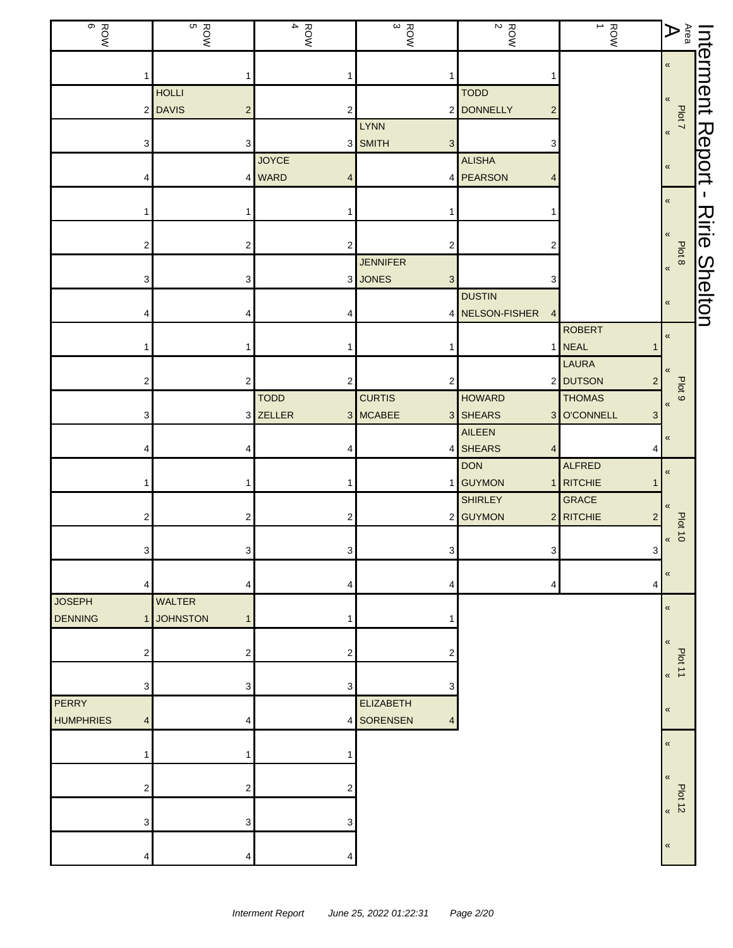| ROW<br>BOW                           | ROW<br>B                                | $\frac{1}{4}$  | $\frac{1}{3}$        | $\frac{ROM}{2}$                   | ROW<br>1         | $A$ rea                       |                |
|--------------------------------------|-----------------------------------------|----------------|----------------------|-----------------------------------|------------------|-------------------------------|----------------|
|                                      |                                         |                |                      |                                   |                  | $\pmb{\ll}$                   | Interment      |
|                                      | <b>HOLLI</b>                            |                |                      | <b>TODD</b>                       |                  |                               |                |
| $\overline{c}$                       | <b>DAVIS</b><br>$\overline{\mathbf{c}}$ | 2              |                      | 2 DONNELLY<br>$\overline{c}$      |                  | $\pmb{\ll}$                   |                |
|                                      |                                         |                | <b>LYNN</b>          |                                   |                  | Plot 7<br>$\pmb{\alpha}$      |                |
| 3                                    | 3                                       |                | 3 SMITH<br>3         | 3                                 |                  |                               | Report         |
|                                      |                                         | <b>JOYCE</b>   |                      | <b>ALISHA</b>                     |                  | $\pmb{\ll}$                   |                |
|                                      |                                         | 4 WARD<br>4    |                      | 4 PEARSON<br>4                    |                  |                               |                |
|                                      |                                         |                |                      |                                   |                  | $\pmb{\ll}$                   | I.             |
|                                      |                                         | 1              |                      |                                   |                  |                               | Ririe          |
|                                      |                                         |                |                      |                                   |                  | «                             |                |
|                                      | 2                                       | $\overline{2}$ | 2<br><b>JENNIFER</b> | 2                                 |                  | Plot 8                        |                |
| З                                    | 3                                       |                | 3 JONES<br>3         | 3                                 |                  | $\pmb{\kappa}$                |                |
|                                      |                                         |                |                      | <b>DUSTIN</b>                     |                  |                               | <b>Shelton</b> |
|                                      |                                         |                |                      | 4 NELSON-FISHER<br>$\overline{4}$ |                  | «                             |                |
|                                      |                                         |                |                      |                                   | <b>ROBERT</b>    | $\,\,\ll$                     |                |
|                                      |                                         |                |                      |                                   | 1 NEAL           |                               |                |
|                                      |                                         |                |                      |                                   | LAURA            | $\langle$                     |                |
| 2                                    | $\overline{c}$                          | 2              | 2                    |                                   | 2 DUTSON<br>2    | Plot <sub>9</sub>             |                |
|                                      |                                         | <b>TODD</b>    | <b>CURTIS</b>        | <b>HOWARD</b>                     | <b>THOMAS</b>    | $\pmb{\langle} \pmb{\langle}$ |                |
| 3                                    |                                         | 3 ZELLER       | 3 MCABEE             | 3 SHEARS                          | 3 O'CONNELL<br>3 |                               |                |
|                                      | 4                                       |                |                      | AILEEN<br>4 SHEARS<br>4           | 4                | $\pmb{\ll}$                   |                |
|                                      |                                         |                |                      | <b>DON</b>                        | <b>ALFRED</b>    |                               |                |
|                                      | 1                                       | 1              |                      | 1 GUYMON                          | 1 RITCHIE        | $\pmb{\langle}$               |                |
|                                      |                                         |                |                      | <b>SHIRLEY</b>                    | <b>GRACE</b>     | $\pmb{\ll}$                   |                |
| 2                                    | 2                                       | 2              |                      | 2 GUYMON                          | 2 RITCHIE<br>2   |                               |                |
|                                      |                                         |                |                      |                                   |                  | $b$ plot 10                   |                |
| 3                                    | 3                                       | 3 <sup>1</sup> | $\frac{3}{2}$        | $\mathbf{3}$                      | 3                |                               |                |
|                                      |                                         |                |                      |                                   |                  | $\pmb{\langle} \pmb{\langle}$ |                |
| 4                                    | 4                                       | 4              | 4                    | 4                                 | 4                |                               |                |
| <b>JOSEPH</b><br><b>DENNING</b><br>1 | <b>WALTER</b><br><b>JOHNSTON</b><br>1   | 1              |                      |                                   |                  | $\pmb{\ll}$                   |                |
|                                      |                                         |                |                      |                                   |                  |                               |                |
| 2                                    | 2                                       | 2              | $\overline{2}$       |                                   |                  | $\pmb{\langle} \pmb{\langle}$ |                |
|                                      |                                         |                |                      |                                   |                  | Plot 11<br>$\pmb{\kappa}$     |                |
| 3                                    | 3                                       | 3              | 3                    |                                   |                  |                               |                |
| <b>PERRY</b>                         |                                         |                | <b>ELIZABETH</b>     |                                   |                  | $\pmb{\ll}$                   |                |
| <b>HUMPHRIES</b><br>$\overline{4}$   | 4                                       |                | 4 SORENSEN<br>4      |                                   |                  |                               |                |
|                                      |                                         |                |                      |                                   |                  | $\pmb{\ll}$                   |                |
|                                      | 1                                       |                |                      |                                   |                  |                               |                |
| 2                                    | 2                                       | 2              |                      |                                   |                  | «                             |                |
|                                      |                                         |                |                      |                                   |                  | <b>Plot 12</b>                |                |
| 3                                    | 3                                       | 3              |                      |                                   |                  | $\,\,\ll$                     |                |
|                                      |                                         |                |                      |                                   |                  |                               |                |
| 4                                    | 4                                       | 4              |                      |                                   |                  | $\pmb{\ll}$                   |                |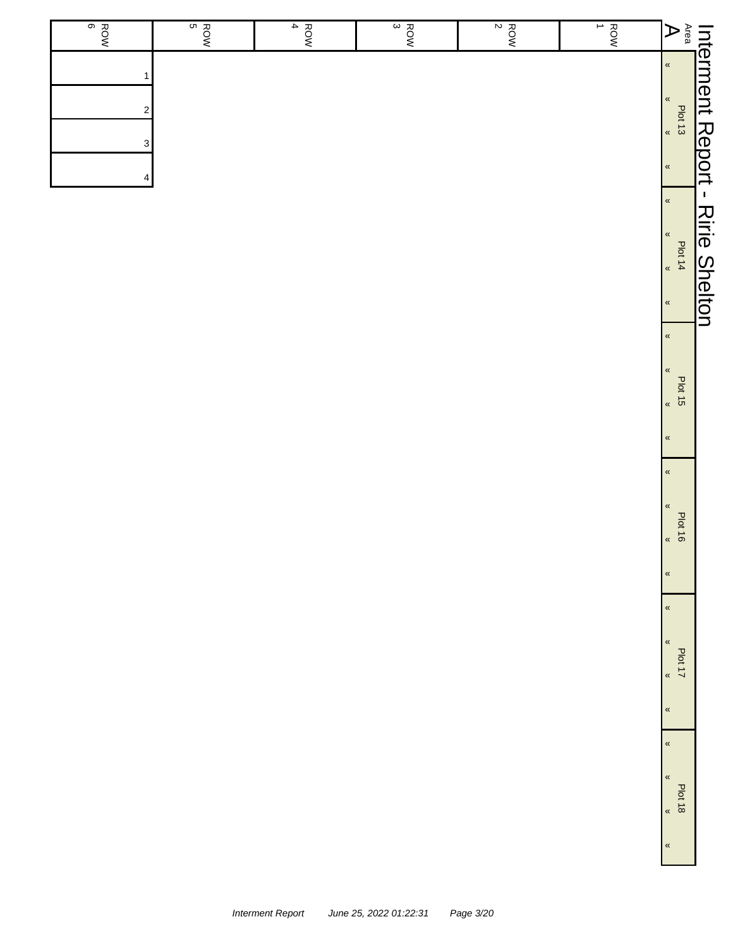| Area<br>চ                          | $\frac{1}{1}$ | $\frac{1}{2}$ | $\frac{1}{3}$ | $\frac{1}{4}$ | ROW<br>B | ROW<br>BOW |
|------------------------------------|---------------|---------------|---------------|---------------|----------|------------|
| Interment<br>$\pmb{\ll}$           |               |               |               |               |          |            |
| $\,\,\ll$<br>Plot 13               |               |               |               |               |          | 2          |
| Report<br>$\pmb{\kappa}$           |               |               |               |               |          | 3          |
| $\,\,\ll$                          |               |               |               |               |          |            |
| $\blacksquare$<br>$\,\,\ll$        |               |               |               |               |          |            |
| Ririe<br>$\pmb{\kappa}$<br>Plot 14 |               |               |               |               |          |            |
| $\pmb{\kappa}$                     |               |               |               |               |          |            |
| <b>Shelton</b><br>$\pmb{\ll}$      |               |               |               |               |          |            |

«

«

«

«

«

«

«

«

«

«

«

«

Plot 15 «

Plot 16 «

 $\frac{1}{2}$   $\frac{1}{2}$ 

Plot 18 «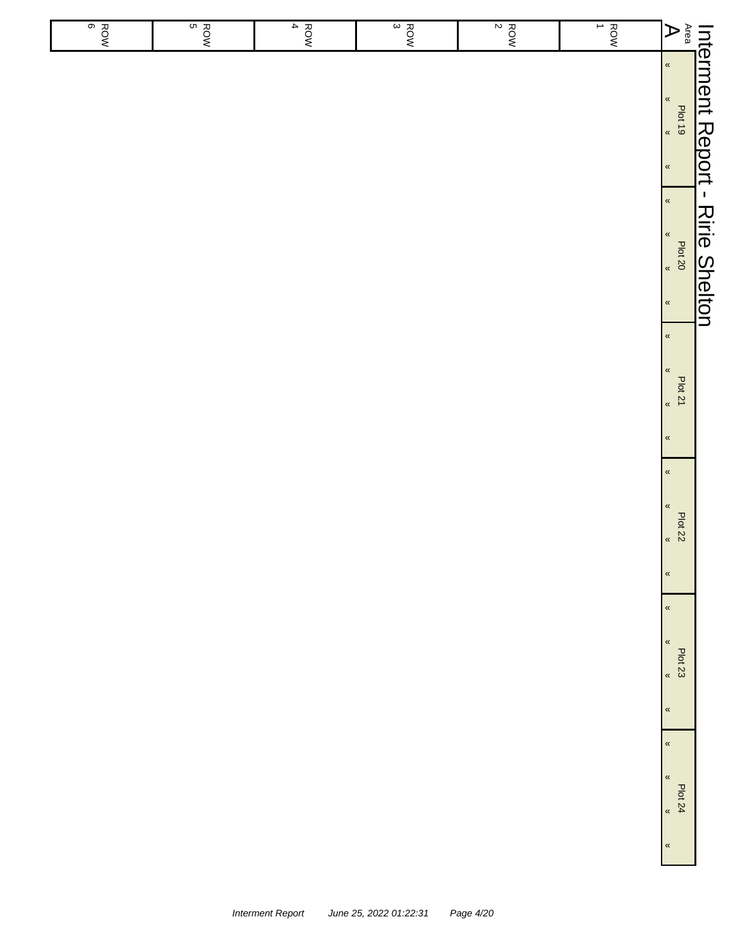|                            |                                                                              | Int <u>erment Report - Ririe Shelton</u>                           |                                                                              |                                                                      |                                                                                      |                                       |
|----------------------------|------------------------------------------------------------------------------|--------------------------------------------------------------------|------------------------------------------------------------------------------|----------------------------------------------------------------------|--------------------------------------------------------------------------------------|---------------------------------------|
| $A^{\text{rea}}$           | $\langle \langle$<br>$\langle\!\langle$<br>$rac{100}{100}$<br>$\pmb{\kappa}$ | $\pmb{\kappa}$<br>$\pmb{\kappa}$<br>Plat 20<br>,<br>$\pmb{\kappa}$ | $\pmb{\kappa}$<br>«<br><b>Plot 21</b><br>$\langle \langle$<br>$\pmb{\kappa}$ | $\alpha$<br>$\pmb{\kappa}$<br>Plot 22<br>$\langle$<br>$\pmb{\kappa}$ | $\pmb{\kappa}$<br>$\pmb{\%}$<br>Plot 23<br>$\overline{\mathbf{K}}$<br>$\pmb{\kappa}$ | $\alpha$<br>$\pmb{\kappa}$<br>Plot 24 |
| $\frac{1}{2}$              |                                                                              |                                                                    |                                                                              |                                                                      |                                                                                      |                                       |
| $rac{8}{2}$                |                                                                              |                                                                    |                                                                              |                                                                      |                                                                                      |                                       |
| $\frac{R_{\text{QNN}}}{3}$ |                                                                              |                                                                    |                                                                              |                                                                      |                                                                                      |                                       |
| $\overline{4}$<br>ROW      |                                                                              |                                                                    |                                                                              |                                                                      |                                                                                      |                                       |
| $rac{1}{5}$                |                                                                              |                                                                    |                                                                              |                                                                      |                                                                                      |                                       |
| $rac{6}{6}$                |                                                                              |                                                                    |                                                                              |                                                                      |                                                                                      |                                       |
|                            |                                                                              |                                                                    |                                                                              |                                                                      |                                                                                      |                                       |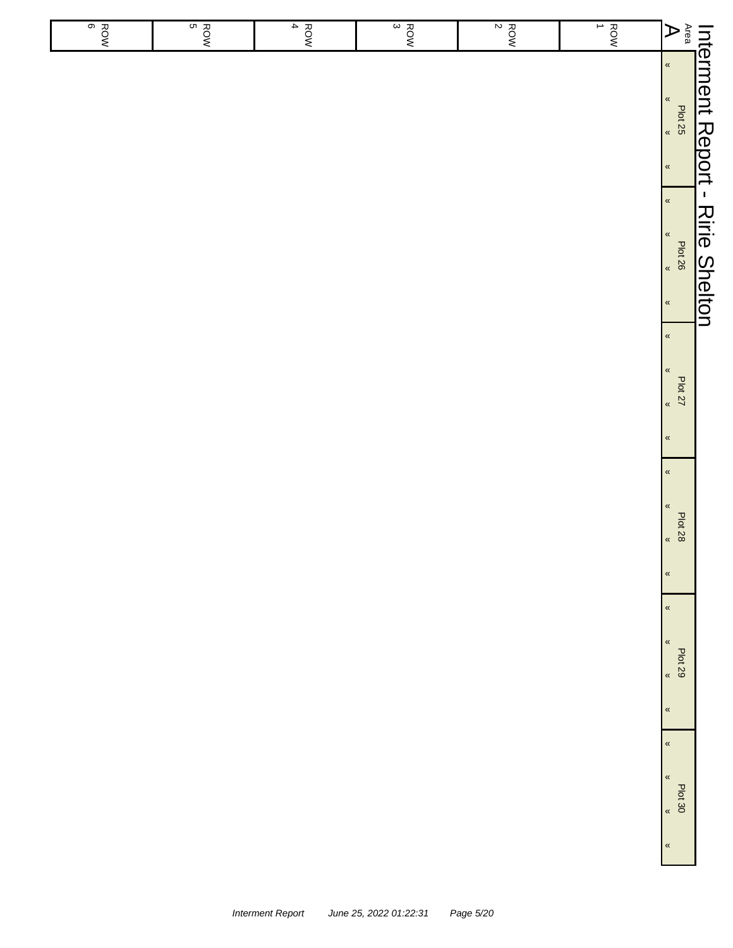|                       |                                                                      | Int <u>erment Report - Ririe Shelton</u>                           |                                                                    |                                                           |                                                                               |
|-----------------------|----------------------------------------------------------------------|--------------------------------------------------------------------|--------------------------------------------------------------------|-----------------------------------------------------------|-------------------------------------------------------------------------------|
| $\mathbf{A}$          | $\langle \langle$<br>$\langle\!\langle$<br>Plat 25<br>$\pmb{\kappa}$ | $\pmb{\alpha}$<br>$\pmb{\kappa}$<br>Plat 26<br>,<br>$\pmb{\kappa}$ | $\pmb{\kappa}$<br>«<br>Plot 27<br>$\pmb{\alpha}$<br>$\pmb{\kappa}$ | $\alpha$<br>$\pmb{\kappa}$<br><b>Plot 28</b><br>$\langle$ | $\pmb{\kappa}$<br>$\pmb{\kappa}$<br>$\pmb{\%}$<br><b>Plot 29</b><br>$\langle$ |
| $\frac{1}{2}$         |                                                                      |                                                                    |                                                                    |                                                           |                                                                               |
| $rac{1}{2}$           |                                                                      |                                                                    |                                                                    |                                                           |                                                                               |
| $\frac{ROW}{3}$       |                                                                      |                                                                    |                                                                    |                                                           |                                                                               |
| $\overline{4}$<br>ROW |                                                                      |                                                                    |                                                                    |                                                           |                                                                               |
| $rac{1}{5}$           |                                                                      |                                                                    |                                                                    |                                                           |                                                                               |
| $rac{6}{6}$           |                                                                      |                                                                    |                                                                    |                                                           |                                                                               |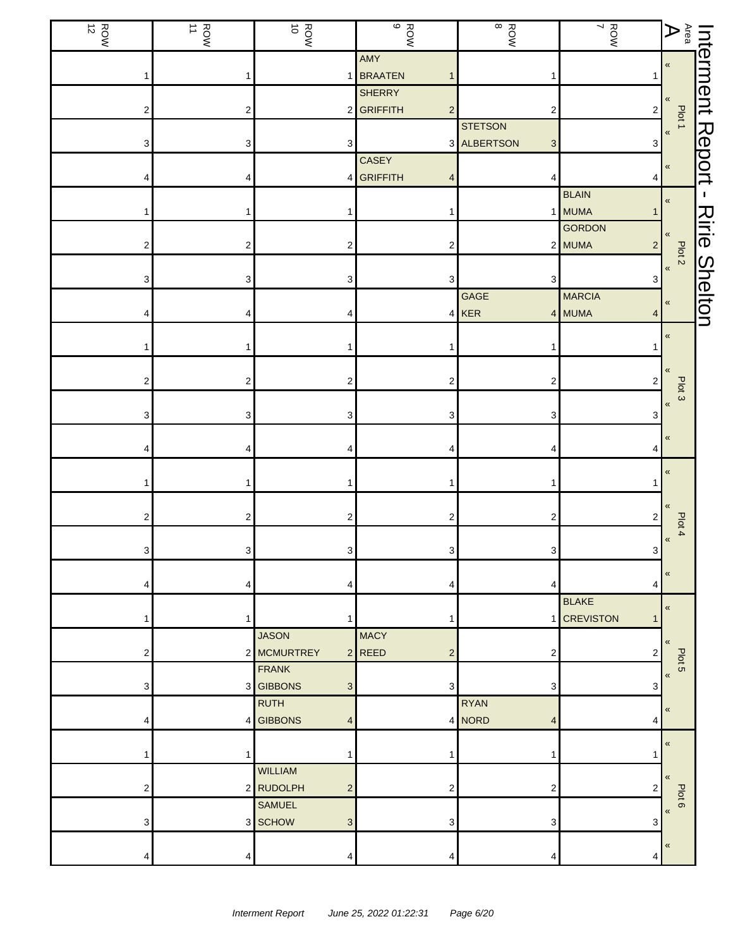| $\frac{ROM}{12}$ | $\frac{ROM}{11}$        | ROW<br>10                                             | $\begin{array}{c}\n\circ \\ \circ \\ \circ\n\end{array}$ | $\begin{array}{c}\n\infty \\ \infty\n\end{array}$ | ROW<br>ROW               | $\mathop{\mathsf{A}\mathrm{res}}^\mathsf{A}$ |                      |
|------------------|-------------------------|-------------------------------------------------------|----------------------------------------------------------|---------------------------------------------------|--------------------------|----------------------------------------------|----------------------|
|                  | 1                       |                                                       | AMY<br>1 BRAATEN                                         | 1                                                 |                          | $\pmb{\ll}$                                  | Interment            |
|                  |                         |                                                       | <b>SHERRY</b>                                            |                                                   |                          |                                              |                      |
| 2                | $\overline{\mathbf{c}}$ | $2\vert$                                              | GRIFFITH<br>$\overline{c}$                               | 2                                                 | $\overline{\mathbf{c}}$  | $\pmb{\langle} \pmb{\langle}$<br>Plot 1      |                      |
|                  |                         |                                                       |                                                          | <b>STETSON</b>                                    |                          | $\pmb{\kappa}$                               |                      |
| 3                | 3                       | 3                                                     |                                                          | 3 ALBERTSON<br>$\ensuremath{\mathsf{3}}$          | 3                        |                                              |                      |
|                  |                         |                                                       | CASEY                                                    |                                                   |                          | $\pmb{\ll}$                                  | <b>Report</b>        |
|                  | 4                       | 4 <sup>1</sup>                                        | GRIFFITH                                                 | 4                                                 | 4<br><b>BLAIN</b>        |                                              | п.                   |
|                  |                         |                                                       |                                                          |                                                   | 1 MUMA                   | $\pmb{\ll}$                                  |                      |
|                  |                         |                                                       |                                                          |                                                   | GORDON                   |                                              |                      |
| 2                | 2                       | 2                                                     | 2                                                        |                                                   | 2 MUMA<br>$\overline{2}$ | $\,\,\ll$                                    | <b>Ririe Shelton</b> |
|                  |                         |                                                       |                                                          |                                                   |                          | Plot 2<br>$\pmb{\kappa}$                     |                      |
| 3                | 3                       | 3                                                     | 3                                                        | $\ensuremath{\mathsf{3}}$                         | 3                        |                                              |                      |
|                  |                         |                                                       |                                                          | GAGE                                              | <b>MARCIA</b>            | $\pmb{\ll}$                                  |                      |
|                  | 4                       | 4                                                     |                                                          | 4 KER                                             | 4 MUMA<br>4              |                                              |                      |
|                  |                         |                                                       |                                                          |                                                   |                          | $\pmb{\ll}$                                  |                      |
|                  | 1                       |                                                       |                                                          | 1                                                 |                          |                                              |                      |
| 2                | $\overline{\mathbf{c}}$ | 2                                                     | 2                                                        | $\overline{\mathbf{c}}$                           | $\overline{\mathbf{c}}$  | «                                            |                      |
|                  |                         |                                                       |                                                          |                                                   |                          | Plot <sub>3</sub>                            |                      |
| 3                | 3                       | 3                                                     | 3                                                        | 3                                                 | 3                        | $\pmb{\langle}$                              |                      |
|                  |                         |                                                       |                                                          |                                                   |                          | «                                            |                      |
|                  | 4                       | 4                                                     | 4                                                        | 4                                                 | 4                        |                                              |                      |
|                  |                         |                                                       |                                                          |                                                   |                          | $\pmb{\langle} \pmb{\langle}$                |                      |
|                  | 1                       | 1                                                     |                                                          | 1                                                 |                          |                                              |                      |
|                  |                         |                                                       |                                                          |                                                   |                          | $\pmb{\ll}$                                  |                      |
| 2                | $\overline{\mathbf{c}}$ | 2                                                     | 2                                                        | 2                                                 | 2                        | Plot 4                                       |                      |
| 3                | 3                       | 3 <sup>1</sup>                                        | 3                                                        | 3                                                 | 3                        | $\pmb{\kappa}$                               |                      |
|                  |                         |                                                       |                                                          |                                                   |                          |                                              |                      |
|                  | 4                       | 4                                                     |                                                          | 4                                                 | 4                        | $\pmb{\ll}$                                  |                      |
|                  |                         |                                                       |                                                          |                                                   | <b>BLAKE</b>             | $\pmb{\langle}$                              |                      |
|                  | 1                       | 1                                                     |                                                          |                                                   | 1 CREVISTON              |                                              |                      |
|                  |                         | <b>JASON</b>                                          | <b>MACY</b>                                              |                                                   |                          | $\pmb{\ll}$                                  |                      |
| 2                |                         | 2 MCMURTREY                                           | $2$ REED<br>2                                            | 2                                                 | 2                        | Plot 5                                       |                      |
|                  |                         | <b>FRANK</b>                                          |                                                          |                                                   |                          | $\pmb{\langle}$                              |                      |
| 3                |                         | 3 GIBBONS<br>$\ensuremath{\mathsf{3}}$<br><b>RUTH</b> | 3                                                        | 3<br><b>RYAN</b>                                  | 3                        |                                              |                      |
|                  |                         | 4 GIBBONS<br>$\overline{4}$                           |                                                          | 4 NORD<br>4                                       | 4                        | $\,\,\ll$                                    |                      |
|                  |                         |                                                       |                                                          |                                                   |                          |                                              |                      |
|                  | 1                       | 1                                                     |                                                          | 1                                                 |                          | $\pmb{\kappa}$                               |                      |
|                  |                         | <b>WILLIAM</b>                                        |                                                          |                                                   |                          | $\ll$                                        |                      |
| 2                |                         | 2 RUDOLPH<br>$\overline{c}$                           | 2                                                        | 2                                                 | 2                        | Plot 6                                       |                      |
|                  |                         | <b>SAMUEL</b>                                         |                                                          |                                                   |                          | $\pmb{\kappa}$                               |                      |
| 3                |                         | 3 SCHOW<br>$\mathbf{3}$                               | 3                                                        | 3                                                 | 3                        |                                              |                      |
|                  |                         |                                                       |                                                          |                                                   |                          | $\pmb{\ll}$                                  |                      |
|                  | 4                       | 4                                                     |                                                          | 4                                                 | 4                        |                                              |                      |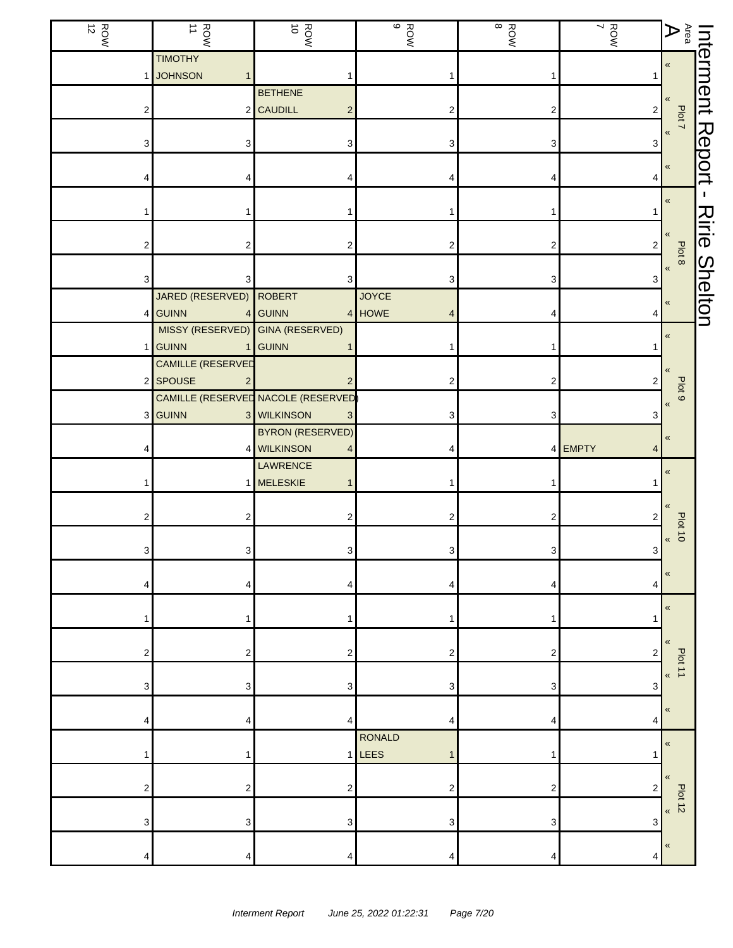| $\frac{ROM}{12}$ | ROW<br>NOR                             | ROW<br>10                                   | $\frac{1}{9}$          | ROW<br>8 | ROW<br>ROW | $\mathop{\mathsf{Ara}}\limits_{\mathsf{R}}$        |                       |
|------------------|----------------------------------------|---------------------------------------------|------------------------|----------|------------|----------------------------------------------------|-----------------------|
|                  | <b>TIMOTHY</b><br><b>JOHNSON</b><br>1  |                                             |                        |          |            | $\pmb{\ll}$                                        | Interment             |
|                  |                                        | <b>BETHENE</b><br>2 CAUDILL                 |                        |          |            | $\pmb{\ll}$                                        |                       |
| 2                |                                        | $\overline{c}$                              | 2                      | 2        | 2          | Plot 7<br>$\pmb{\ll}$                              |                       |
| 3                | 3                                      | 3                                           |                        | 3        | 3          |                                                    | Report                |
|                  |                                        |                                             |                        | 4        |            | $\pmb{\ll}$                                        |                       |
|                  |                                        |                                             |                        |          |            | «                                                  | J.                    |
|                  |                                        |                                             |                        |          |            | $\pmb{\ll}$                                        | $\lambda$<br>iri<br>O |
| 2                | 2                                      | 2                                           |                        | 2        | 2          | Plot 8                                             |                       |
| 3                | 3                                      | 3                                           | 3                      | 3        | з          | $\pmb{\kappa}$                                     | <b>Shelton</b>        |
| 4                | JARED (RESERVED)<br><b>GUINN</b>       | <b>ROBERT</b><br>4 GUINN                    | <b>JOYCE</b><br>4 HOWE |          | 4          | $\pmb{\ll}$                                        |                       |
|                  | MISSY (RESERVED) GINA (RESERVED)       |                                             |                        |          |            | $\pmb{\ll}$                                        |                       |
|                  | <b>GUINN</b><br>1<br>CAMILLE (RESERVED | <b>GUINN</b>                                |                        |          |            |                                                    |                       |
|                  | 2 SPOUSE<br>2                          | $\overline{2}$                              | 2                      | 2        | 2          |                                                    |                       |
|                  |                                        | CAMILLE (RESERVED NACOLE (RESERVED          |                        |          |            | Plot <sub>9</sub><br>$\pmb{\langle} \pmb{\langle}$ |                       |
| 3 <sub>l</sub>   | <b>GUINN</b>                           | 3 WILKINSON<br>3<br><b>BYRON (RESERVED)</b> | З                      | 3        |            |                                                    |                       |
|                  |                                        | 4 WILKINSON<br>4                            |                        |          | 4 EMPTY    | $\pmb{\ll}$                                        |                       |
|                  |                                        | LAWRENCE                                    |                        |          |            | $\boldsymbol{\kappa}$                              |                       |
|                  |                                        | 1 MELESKIE<br>1                             |                        |          |            |                                                    |                       |
|                  | 2                                      | 2                                           |                        | 2        | 2          | $\langle$<br>$b$ plat 10                           |                       |
| З                | 3                                      | $\mathbf{3}$                                | 3                      | 3        | 3          |                                                    |                       |
|                  |                                        |                                             |                        |          |            | $\pmb{\ll}$                                        |                       |
| 4                | 4                                      | 4                                           | 4                      | 4        | 4          |                                                    |                       |
|                  | 1                                      |                                             |                        |          |            | $\pmb{\langle} \pmb{\langle}$                      |                       |
| 2                | 2                                      | 2                                           | 2                      | 2        | 2          | $\ll$                                              |                       |
|                  |                                        |                                             |                        |          |            | Plot 11<br>$\pmb{\langle} \pmb{\langle}$           |                       |
| 3                | 3                                      | 3                                           | 3                      | 3        | 3          | $\pmb{\ll}$                                        |                       |
| Δ                | Δ                                      | 4                                           | Δ                      | Δ        | 4          |                                                    |                       |
|                  | 1                                      |                                             | RONALD<br>$1$ LEES     |          |            | $\pmb{\langle} \pmb{\langle}$                      |                       |
|                  |                                        |                                             |                        |          |            | $\pmb{\ll}$                                        |                       |
| 2                | 2                                      | 2                                           | 2                      | 2        | 2          | $P$ lot 12                                         |                       |
| 3                | 3                                      | 3                                           | 3                      | 3        | 3          |                                                    |                       |
| 4                | 4                                      | 4                                           | 4                      | 4        | 4          | «                                                  |                       |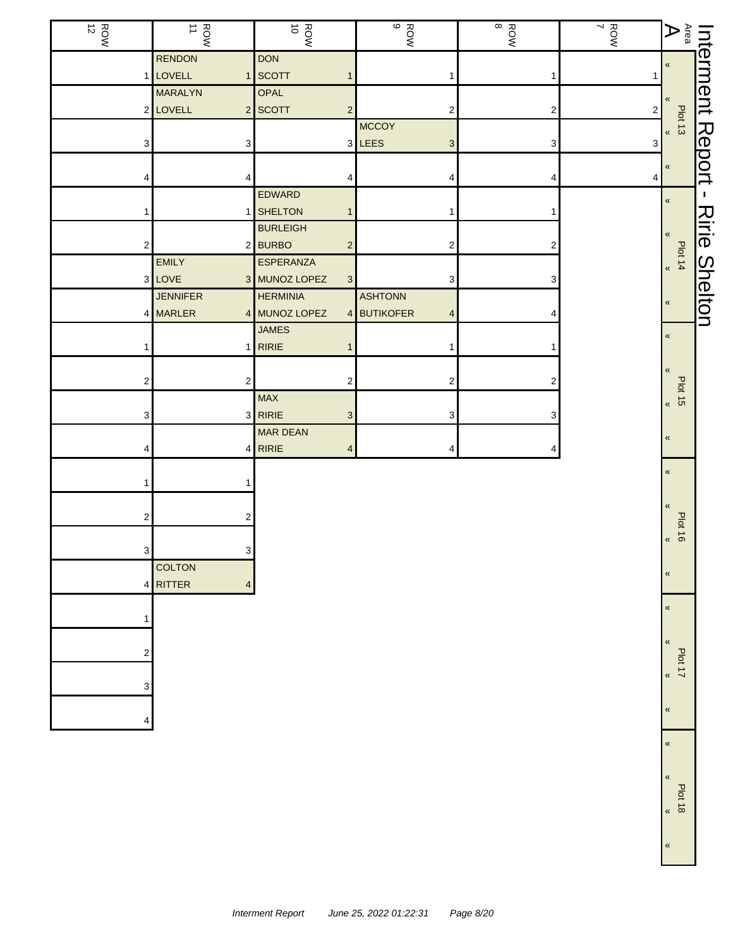| $\frac{ROM}{12}$        | ROW<br>11                           | ROW<br>WOR                              | ROW<br>B              | ROW<br>8                | ROW<br>ROW   | $\mathop{\mathsf{Area}}^\mathsf{Area}$ |                |
|-------------------------|-------------------------------------|-----------------------------------------|-----------------------|-------------------------|--------------|----------------------------------------|----------------|
|                         | <b>RENDON</b>                       | <b>DON</b>                              |                       |                         |              | $\pmb{\ll}$                            | Interment      |
|                         | 1 LOVELL<br><b>MARALYN</b>          | 1 SCOTT<br>1<br>OPAL                    |                       | 1                       |              |                                        |                |
|                         | 2 LOVELL                            | 2 SCOTT<br>$\overline{c}$               | 2                     | $\overline{\mathbf{c}}$ | $\sqrt{2}$   | «                                      |                |
|                         |                                     |                                         | <b>MCCOY</b>          |                         |              | Plot 13                                |                |
| 3                       | 3                                   |                                         | 3 LEES<br>3           | 3                       | $\mathbf{3}$ |                                        |                |
| 4                       | 4                                   |                                         |                       | 4                       | 4            | $\pmb{\ll}$                            | Report         |
|                         |                                     | EDWARD                                  |                       |                         |              | $\pmb{\ll}$                            | $\mathbf{I}$   |
| 1                       |                                     | 1 SHELTON<br>$\mathbf{1}$               |                       |                         |              |                                        |                |
|                         |                                     | <b>BURLEIGH</b>                         |                       |                         |              | $\pmb{\ll}$                            | Ririe          |
| $\sqrt{2}$              |                                     | 2 BURBO<br>$\overline{c}$               | 2                     | 2                       |              |                                        |                |
|                         | <b>EMILY</b>                        | <b>ESPERANZA</b>                        |                       |                         |              | Plot 14 $*$                            |                |
|                         | 3 LOVE                              | 3 MUNOZ LOPEZ<br>3                      | 3                     | 3                       |              |                                        |                |
|                         | <b>JENNIFER</b>                     | <b>HERMINIA</b>                         | <b>ASHTONN</b>        |                         |              |                                        |                |
|                         | 4 MARLER                            | 4 MUNOZ LOPEZ<br>$\vert 4 \vert$        | <b>BUTIKOFER</b><br>4 |                         |              | «                                      | <b>Shelton</b> |
|                         |                                     | <b>JAMES</b>                            |                       |                         |              |                                        |                |
|                         |                                     | $1$ <b>RIRIE</b>                        |                       |                         |              | $\,\,\ll$                              |                |
|                         |                                     |                                         |                       |                         |              | $\pmb{\ll}$                            |                |
| $\mathbf 2$             | $\overline{c}$                      | $\overline{c}$                          | 2                     | 2                       |              | $\frac{P}{5}$                          |                |
| 3                       |                                     | <b>MAX</b><br>3 RIRIE<br>3 <sup>2</sup> | 3                     | 3                       |              |                                        |                |
|                         |                                     | MAR DEAN                                |                       |                         |              | $\pmb{\ll}$                            |                |
| 4                       |                                     | $4$ RIRIE<br>4                          | 4                     | 4                       |              |                                        |                |
| 1                       |                                     |                                         |                       |                         |              | $\pmb{\ll}$                            |                |
|                         |                                     |                                         |                       |                         |              | $\pmb{\ll}$                            |                |
| $\overline{\mathbf{c}}$ | 2                                   |                                         |                       |                         |              | $\frac{100110}{10}$                    |                |
| $\mathbf{3}$            | $\ensuremath{\mathsf{3}}$           |                                         |                       |                         |              |                                        |                |
|                         | <b>COLTON</b>                       |                                         |                       |                         |              |                                        |                |
|                         | 4 RITTER<br>$\overline{\mathbf{4}}$ |                                         |                       |                         |              | $\pmb{\ll}$                            |                |
|                         |                                     |                                         |                       |                         |              |                                        |                |
| 1                       |                                     |                                         |                       |                         |              | $\pmb{\ll}$                            |                |
|                         |                                     |                                         |                       |                         |              |                                        |                |
| 2                       |                                     |                                         |                       |                         |              | $\pmb{\langle} \pmb{\langle}$          |                |
|                         |                                     |                                         |                       |                         |              | Plot 17                                |                |
| 3                       |                                     |                                         |                       |                         |              | $\pmb{\kappa}$                         |                |
|                         |                                     |                                         |                       |                         |              |                                        |                |
| 4                       |                                     |                                         |                       |                         |              | «                                      |                |
|                         |                                     |                                         |                       |                         |              | $\pmb{\ll}$                            |                |
|                         |                                     |                                         |                       |                         |              |                                        |                |
|                         |                                     |                                         |                       |                         |              |                                        |                |
|                         |                                     |                                         |                       |                         |              | «                                      |                |
|                         |                                     |                                         |                       |                         |              | $\frac{P}{10}$                         |                |
|                         |                                     |                                         |                       |                         |              |                                        |                |

«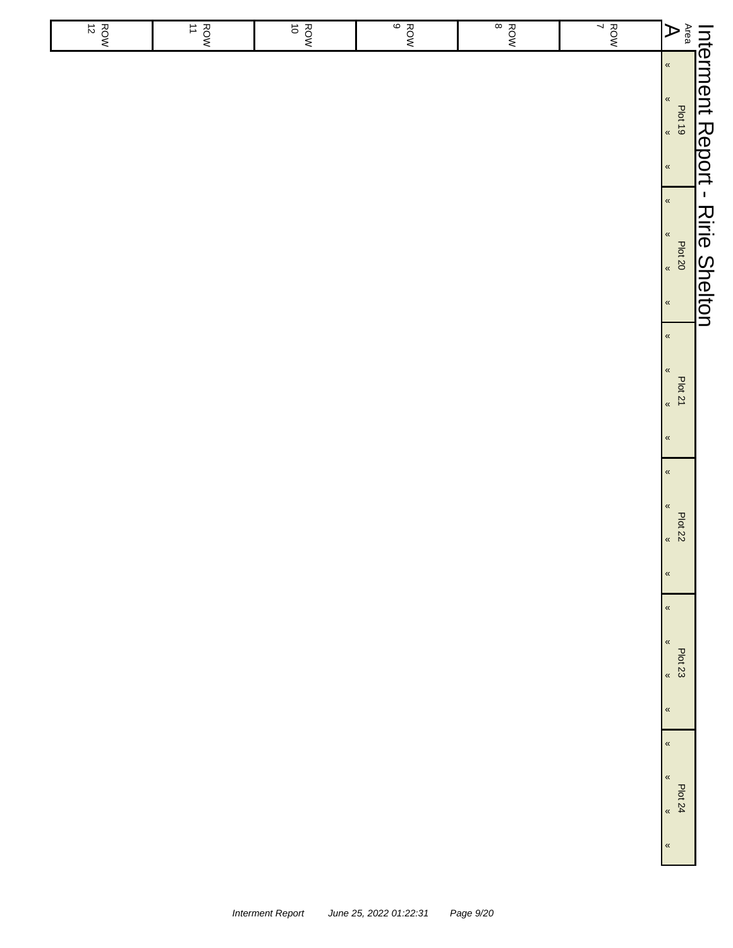| $rac{1}{10}$ | $\vec{o}$<br>ROW | $rac{1}{\sqrt{2}}$ | $rac{1}{8}$ | $\frac{RON}{7}$ | $A^{\text{ren}}$<br>$\langle \langle$                                                       |                                          |
|--------------|------------------|--------------------|-------------|-----------------|---------------------------------------------------------------------------------------------|------------------------------------------|
|              |                  |                    |             |                 | $\langle\!\langle$<br>$rac{100}{100}$<br>$\pmb{\kappa}$                                     |                                          |
|              |                  |                    |             |                 | $\pmb{\kappa}$<br>$\pmb{\kappa}$<br>Plat 20<br>,<br>$\pmb{\kappa}$                          | Int <u>erment Report - Ririe Shelton</u> |
|              |                  |                    |             |                 | $\pmb{\kappa}$<br>«<br><b>Plot 21</b><br>$\langle \langle$                                  |                                          |
|              |                  |                    |             |                 | $\pmb{\kappa}$<br>$\alpha$<br>$\pmb{\kappa}$<br>Plot 22<br>$\langle$<br>$\pmb{\kappa}$      |                                          |
|              |                  |                    |             |                 | $\pmb{\kappa}$<br>$\pmb{\%}$<br><b>Plot 23</b><br>$\overline{\mathbf{K}}$<br>$\pmb{\kappa}$ |                                          |
|              |                  |                    |             |                 | $\pmb{\mathcal{R}}$<br>$\pmb{\kappa}$<br>Plot 24<br>$\pmb{\alpha}$<br>$\pmb{\mathcal{R}}$   |                                          |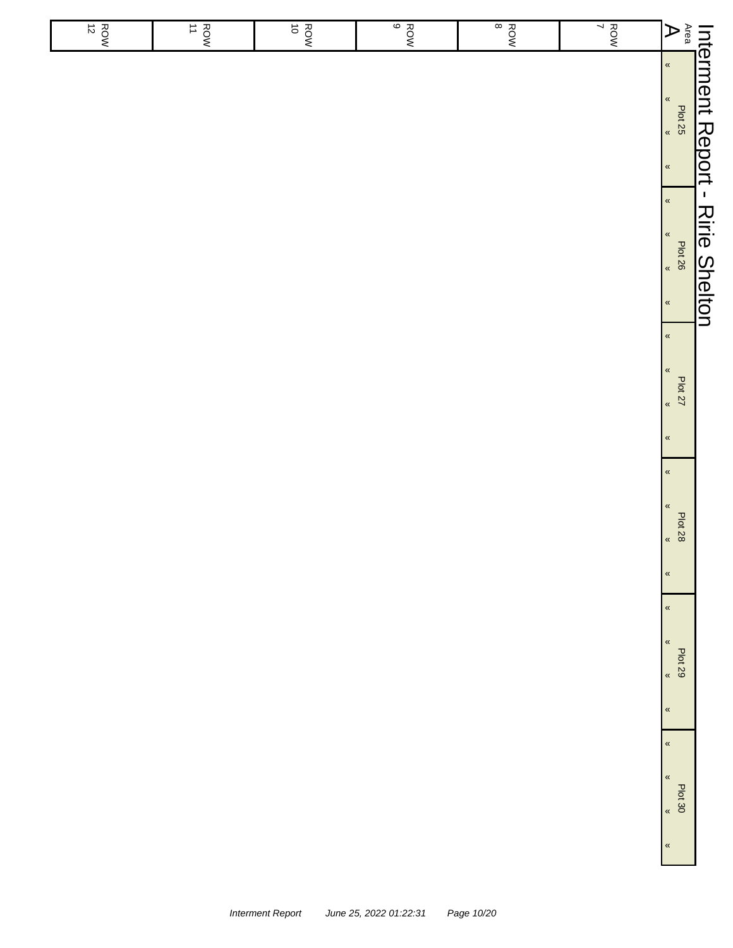| $A^{\text{ren}}$   |                                                                                | Int <u>erment Report - Ririe Shelton</u>                           | <b>Plot 27</b>                                                       | <b>Plot 28</b>                                            | Plot 29                                                     |
|--------------------|--------------------------------------------------------------------------------|--------------------------------------------------------------------|----------------------------------------------------------------------|-----------------------------------------------------------|-------------------------------------------------------------|
|                    | $\langle \langle$<br>$\langle\!\langle$<br>Plat 25<br>*<br>*<br>$\pmb{\kappa}$ | $\pmb{\kappa}$<br>$\pmb{\kappa}$<br>Plot 26<br>,<br>$\pmb{\kappa}$ | $\pmb{\kappa}$<br>$\pmb{\kappa}$<br>$\pmb{\alpha}$<br>$\pmb{\kappa}$ | $\alpha$<br>$\pmb{\kappa}$<br>$\langle$<br>$\pmb{\kappa}$ | $\pmb{\kappa}$<br>$\pmb{\%}$<br>$\langle$<br>$\pmb{\kappa}$ |
| $\frac{RON}{7}$    |                                                                                |                                                                    |                                                                      |                                                           |                                                             |
| $rac{1}{8}$        |                                                                                |                                                                    |                                                                      |                                                           |                                                             |
| $rac{1}{\sqrt{2}}$ |                                                                                |                                                                    |                                                                      |                                                           |                                                             |
| $\vec{o}$<br>ROW   |                                                                                |                                                                    |                                                                      |                                                           |                                                             |
| $rac{1}{10}$       |                                                                                |                                                                    |                                                                      |                                                           |                                                             |
| $\frac{ROW}{12}$   |                                                                                |                                                                    |                                                                      |                                                           |                                                             |
|                    |                                                                                |                                                                    |                                                                      |                                                           |                                                             |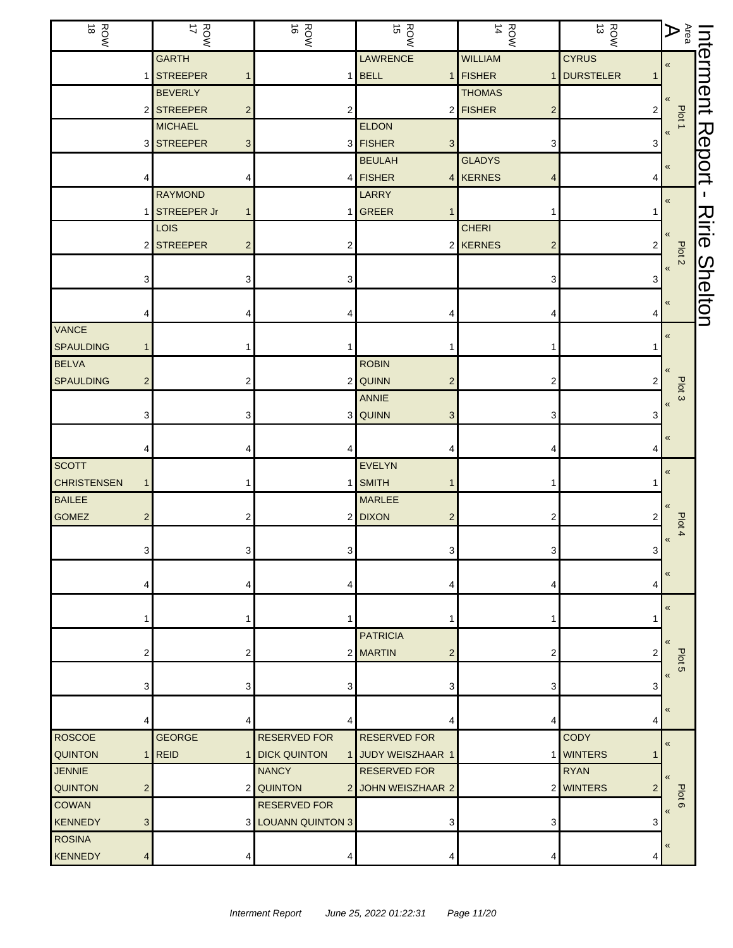| ROW<br>18          |                | HOW<br>WOR                 | ROW<br>16                 | ROW<br>15                  | ROW<br>14                  | ROW<br>13      | $\begin{array}{c c c} \text{Inferment} \\ \hline \text{Area} & \text{Pot} \end{array}$ |                |
|--------------------|----------------|----------------------------|---------------------------|----------------------------|----------------------------|----------------|----------------------------------------------------------------------------------------|----------------|
|                    |                | <b>GARTH</b>               |                           | <b>LAWRENCE</b>            | <b>WILLIAM</b>             | <b>CYRUS</b>   |                                                                                        |                |
|                    |                | <b>STREEPER</b>            | 1                         | $1$ BELL                   | 1 FISHER                   | 1 DURSTELER    |                                                                                        |                |
|                    |                | <b>BEVERLY</b>             |                           |                            | <b>THOMAS</b>              |                |                                                                                        |                |
|                    |                | 2 STREEPER                 | $\overline{c}$<br>2       |                            | 2 FISHER<br>$\mathbf 2$    | 2              | Plot 1                                                                                 |                |
|                    |                | <b>MICHAEL</b>             |                           | <b>ELDON</b>               |                            |                |                                                                                        |                |
|                    |                | 3 STREEPER                 | 3                         | 3 FISHER<br>3 <sup>1</sup> | 3                          | 3              |                                                                                        |                |
|                    |                |                            |                           | <b>BEULAH</b>              | <b>GLADYS</b>              |                | «                                                                                      | Report         |
|                    |                |                            | 4                         | 4 FISHER                   | 4 KERNES<br>4              | 4              |                                                                                        |                |
|                    |                | <b>RAYMOND</b>             |                           | LARRY                      |                            |                | «                                                                                      | T.             |
|                    |                | <b>STREEPER Jr</b><br>LOIS | $\mathbf{1}$              | 1 GREER                    | 1<br><b>CHERI</b>          |                |                                                                                        | スミー            |
|                    |                | 2 STREEPER                 | $\overline{c}$<br>2       |                            | 2 KERNES<br>$\overline{c}$ | 2              | «                                                                                      |                |
|                    |                |                            |                           |                            |                            |                | Plot 2                                                                                 |                |
|                    | З              |                            | 3<br>З                    |                            | 3                          | 3              | $\pmb{\mathsf{M}}$                                                                     |                |
|                    |                |                            |                           |                            |                            |                |                                                                                        | <b>Shelton</b> |
|                    |                |                            |                           |                            |                            |                | «                                                                                      |                |
| VANCE              |                |                            |                           |                            |                            |                | «                                                                                      |                |
| <b>SPAULDING</b>   |                |                            |                           |                            |                            |                |                                                                                        |                |
| <b>BELVA</b>       |                |                            |                           | <b>ROBIN</b>               |                            |                |                                                                                        |                |
| <b>SPAULDING</b>   | $\overline{2}$ |                            | 2                         | 2 QUINN<br>$\overline{2}$  | $\overline{2}$             |                | Plot <sub>3</sub>                                                                      |                |
|                    |                |                            |                           | ANNIE                      |                            |                | $\overline{\mathbf{K}}$                                                                |                |
|                    | 3              |                            | 3                         | 3 QUINN<br>3               | 3                          | 3              |                                                                                        |                |
|                    |                |                            |                           |                            |                            |                | «                                                                                      |                |
|                    |                |                            |                           | 4                          |                            |                |                                                                                        |                |
| <b>SCOTT</b>       |                |                            |                           | <b>EVELYN</b>              |                            |                | «                                                                                      |                |
| <b>CHRISTENSEN</b> | $\mathbf{1}$   |                            |                           | 1 SMITH                    |                            |                |                                                                                        |                |
| <b>BAILEE</b>      |                |                            |                           | <b>MARLEE</b>              |                            |                |                                                                                        |                |
| <b>GOMEZ</b>       | $\overline{2}$ |                            | 2                         | 2 DIXON<br>$\overline{2}$  | 2                          | 2              | Plot 4                                                                                 |                |
|                    |                |                            | 3                         | 3                          | 3                          |                | $\boldsymbol{\kappa}$                                                                  |                |
|                    | 3              |                            | $\mathbf{3}$              |                            |                            | 3              |                                                                                        |                |
|                    |                |                            | 4                         |                            | 4                          | 4              | «                                                                                      |                |
|                    |                |                            |                           |                            |                            |                |                                                                                        |                |
|                    |                |                            |                           |                            |                            |                | «                                                                                      |                |
|                    |                |                            |                           | <b>PATRICIA</b>            |                            |                |                                                                                        |                |
|                    | 2              |                            | 2                         | 2 MARTIN<br>2              | 2                          | 2              |                                                                                        |                |
|                    |                |                            |                           |                            |                            |                | Plot <sub>5</sub><br>«                                                                 |                |
|                    | 3              |                            | 3<br>3                    | 3                          | 3                          | 3              |                                                                                        |                |
|                    |                |                            |                           |                            |                            |                | «                                                                                      |                |
|                    |                |                            | 4                         |                            | 4                          | 4              |                                                                                        |                |
| <b>ROSCOE</b>      |                | <b>GEORGE</b>              | <b>RESERVED FOR</b>       | <b>RESERVED FOR</b>        |                            | <b>CODY</b>    | «                                                                                      |                |
| <b>QUINTON</b>     |                | $1$ REID                   | 1 DICK QUINTON            | 1 JUDY WEISZHAAR 1         |                            | 1 WINTERS      |                                                                                        |                |
| <b>JENNIE</b>      |                |                            | <b>NANCY</b>              | <b>RESERVED FOR</b>        |                            | <b>RYAN</b>    | $\overline{\mathbf{K}}$                                                                |                |
| <b>QUINTON</b>     | $\overline{2}$ |                            | 2 QUINTON<br>2            | JOHN WEISZHAAR 2           |                            | 2 WINTERS<br>2 | Plot                                                                                   |                |
| <b>COWAN</b>       |                |                            | <b>RESERVED FOR</b>       |                            |                            |                | $\infty$<br>$\overline{\mathbf{a}}$                                                    |                |
| <b>KENNEDY</b>     | 3              |                            | <b>3 LOUANN QUINTON 3</b> | 3                          | 3                          | 3              |                                                                                        |                |
| <b>ROSINA</b>      |                |                            |                           |                            |                            |                | «                                                                                      |                |
| KENNEDY            | 4              |                            | 4<br>4                    | 4                          | 4                          | 4              |                                                                                        |                |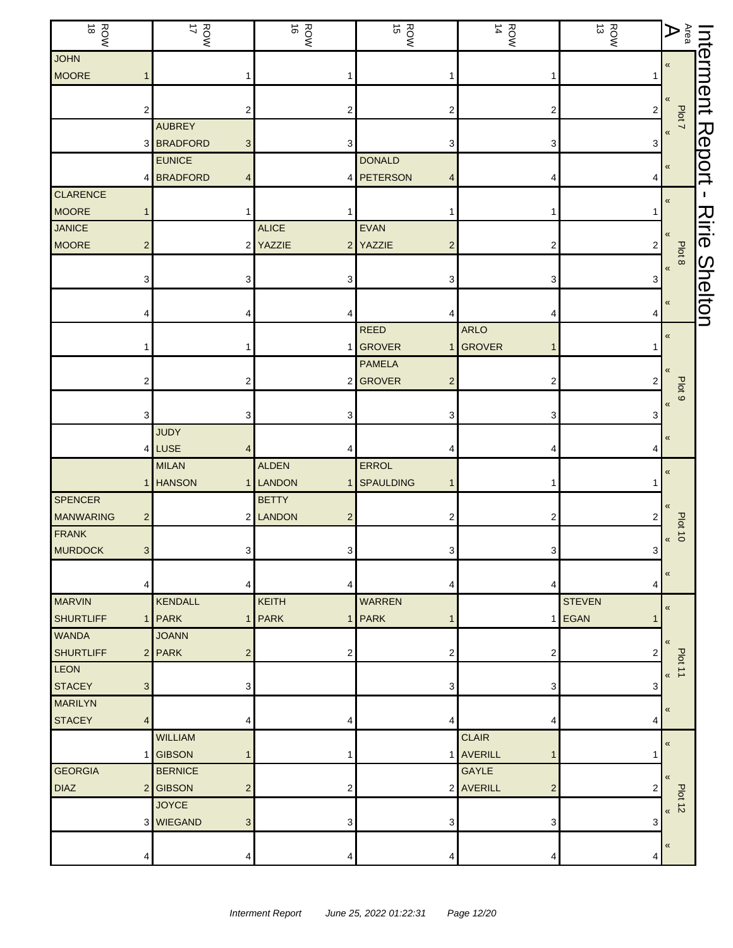| ROW<br>18        |                         | ROW<br>17       |                         | ROW<br>16                | ROW<br>15                    | $\frac{ROM}{14}$                     | ROW<br>13      | $\mathbf{A}^{\text{rea}}$     | Interment     |
|------------------|-------------------------|-----------------|-------------------------|--------------------------|------------------------------|--------------------------------------|----------------|-------------------------------|---------------|
| <b>JOHN</b>      |                         |                 |                         |                          |                              |                                      |                | $\pmb{\ll}$                   |               |
| <b>MOORE</b>     |                         |                 |                         |                          |                              | 1                                    |                |                               |               |
|                  |                         |                 |                         |                          |                              |                                      |                |                               |               |
|                  | 2                       |                 | $\overline{\mathbf{c}}$ | 2                        | 2                            | $\boldsymbol{2}$                     | $\overline{a}$ | Plot 7                        |               |
|                  |                         | <b>AUBREY</b>   |                         |                          |                              |                                      |                | $\pmb{\ll}$                   | <b>Report</b> |
|                  | 3                       | <b>BRADFORD</b> | 3                       | 3                        | 3                            | 3                                    | 3              |                               |               |
|                  |                         | <b>EUNICE</b>   |                         |                          | <b>DONALD</b>                |                                      |                | $\pmb{\langle} \pmb{\langle}$ |               |
|                  |                         | 4 BRADFORD      | 4                       |                          | 4 PETERSON<br>4              | 4                                    | 4              |                               |               |
| <b>CLARENCE</b>  |                         |                 |                         |                          |                              |                                      |                | $\,\,\ll$                     | I.            |
| <b>MOORE</b>     |                         |                 | 1                       | 1                        |                              | 1                                    |                |                               | Ririe         |
| <b>JANICE</b>    |                         |                 |                         | <b>ALICE</b>             | EVAN                         |                                      |                | «                             |               |
| <b>MOORE</b>     | $\overline{\mathbf{c}}$ |                 |                         | 2 YAZZIE                 | 2 YAZZIE<br>2                | 2                                    | 2              | Plot 8                        |               |
|                  |                         |                 |                         |                          |                              |                                      |                | $\pmb{\langle}$               | Shelton       |
|                  | З                       |                 | 3                       | 3                        | 3                            | 3                                    |                |                               |               |
|                  |                         |                 |                         |                          |                              |                                      |                | $\pmb{\ll}$                   |               |
|                  |                         |                 |                         |                          |                              | 4                                    | 4              |                               |               |
|                  |                         |                 |                         |                          | <b>REED</b><br><b>GROVER</b> | <b>ARLO</b><br><b>GROVER</b>         |                | $\pmb{\langle}$               |               |
|                  |                         |                 |                         | 1                        |                              |                                      |                |                               |               |
|                  |                         |                 |                         |                          | <b>PAMELA</b>                |                                      |                |                               |               |
|                  | 2                       |                 | 2                       |                          | 2 GROVER<br>2                | 2                                    | 2              | Plot <sub>9</sub>             |               |
|                  |                         |                 |                         |                          |                              |                                      |                | $\pmb{\langle} \pmb{\langle}$ |               |
|                  | 3                       | <b>JUDY</b>     | 3                       | 3                        | 3                            | 3                                    | 3              |                               |               |
|                  |                         |                 |                         |                          |                              |                                      |                | $\pmb{\ll}$                   |               |
|                  | 4                       | LUSE            | 4                       |                          |                              | 4                                    |                |                               |               |
|                  |                         | <b>MILAN</b>    |                         | <b>ALDEN</b>             | ERROL                        |                                      |                | $\pmb{\ll}$                   |               |
| <b>SPENCER</b>   |                         | <b>HANSON</b>   |                         | 1 LANDON<br>$\mathbf{1}$ | <b>SPAULDING</b>             | 1                                    |                |                               |               |
| <b>MANWARING</b> |                         |                 |                         | <b>BETTY</b><br>2 LANDON |                              |                                      |                | $\ll$                         |               |
| FRANK            | 2                       |                 |                         | $\overline{c}$           | 2                            | 2                                    | 2              | <b>Plot 10</b>                |               |
| MURDOCK          |                         |                 |                         |                          |                              |                                      |                | $\pmb{\ll}$                   |               |
|                  | 3 <sup>1</sup>          |                 | 3 <sup>1</sup>          | 3 <sup>1</sup>           | 3                            | $\mathbf{3}$                         | 3              |                               |               |
|                  | 4                       |                 | 4                       | 4                        | 4                            | 4                                    | 4              | $\pmb{\ll}$                   |               |
| <b>MARVIN</b>    |                         | <b>KENDALL</b>  |                         | <b>KEITH</b>             | <b>WARREN</b>                |                                      | <b>STEVEN</b>  |                               |               |
| <b>SHURTLIFF</b> | 1                       | PARK            | 11                      | <b>PARK</b>              | 1 PARK                       |                                      | 1 EGAN         | $\pmb{\kappa}$                |               |
| <b>WANDA</b>     |                         | <b>JOANN</b>    |                         |                          |                              |                                      |                |                               |               |
| <b>SHURTLIFF</b> |                         | $2$ PARK        | $\overline{2}$          | 2                        | 2                            | 2                                    | 2              | $\langle \langle$             |               |
| <b>LEON</b>      |                         |                 |                         |                          |                              |                                      |                | Plot 11                       |               |
| <b>STACEY</b>    | 3                       |                 | 3                       |                          | 3                            | 3                                    | 3              | $\pmb{\langle} \pmb{\langle}$ |               |
| <b>MARILYN</b>   |                         |                 |                         |                          |                              |                                      |                |                               |               |
| <b>STACEY</b>    | $\overline{4}$          |                 | 4                       | 4                        | 4                            | 4                                    | 4              | $\pmb{\langle} \pmb{\langle}$ |               |
|                  |                         | <b>WILLIAM</b>  |                         |                          |                              | <b>CLAIR</b>                         |                |                               |               |
|                  |                         | <b>GIBSON</b>   | 1                       | 1                        |                              | 1 AVERILL<br>1                       |                | $\pmb{\ll}$                   |               |
| <b>GEORGIA</b>   |                         | <b>BERNICE</b>  |                         |                          |                              | <b>GAYLE</b>                         |                |                               |               |
| <b>DIAZ</b>      | $\overline{2}$          | <b>GIBSON</b>   | $\overline{c}$          | 2                        |                              | 2 AVERILL<br>$\overline{\mathbf{c}}$ |                | $\ll$                         |               |
|                  |                         | <b>JOYCE</b>    |                         |                          |                              |                                      |                | <b>Plot 12</b>                |               |
|                  |                         | 3 WIEGAND       | 3                       | 3                        | 3                            | 3                                    | 3              | $\,\,\ll$                     |               |
|                  |                         |                 |                         |                          |                              |                                      |                |                               |               |
|                  |                         |                 | 4                       | 4                        | 4                            | 4                                    | 4              | $\pmb{\ll}$                   |               |
|                  |                         |                 |                         |                          |                              |                                      |                |                               |               |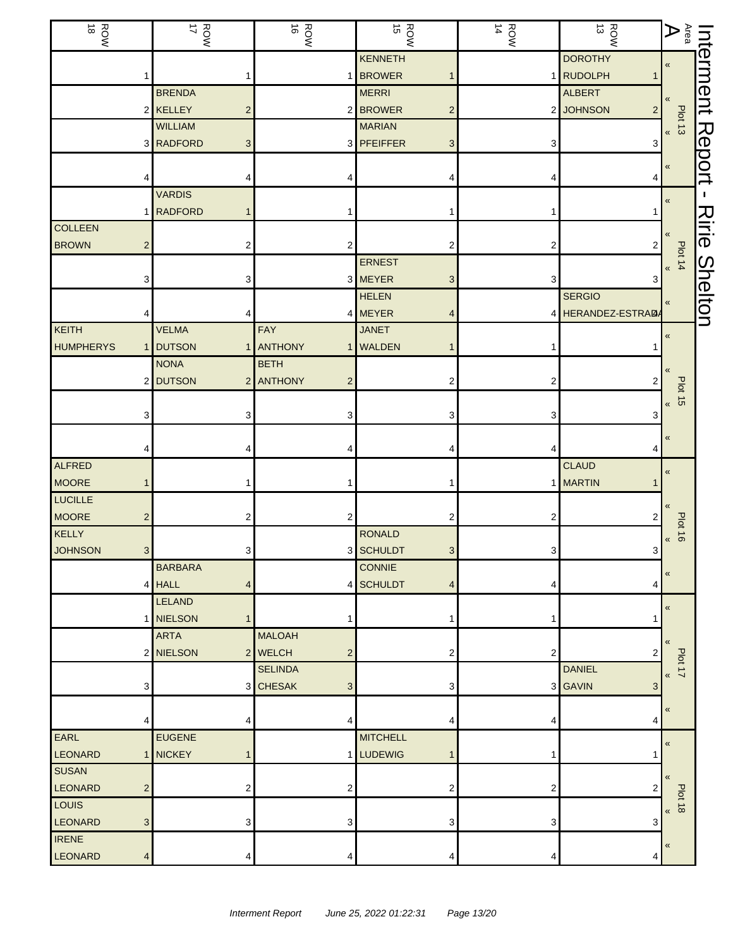| <b>ROW</b><br>$\vec{\circ}$ |                           | ROW<br>17                     | $\vec{\circ}$<br>ROW               | $\frac{ROW}{15}$ | ROW<br>14      | $\vec{\omega}$<br>ROW       | $\mathop{\mathsf{Ara}}\limits_{\mathsf{R}}$ | Interment      |
|-----------------------------|---------------------------|-------------------------------|------------------------------------|------------------|----------------|-----------------------------|---------------------------------------------|----------------|
|                             |                           |                               |                                    | <b>KENNETH</b>   |                | <b>DOROTHY</b>              | «                                           |                |
|                             |                           |                               | 1                                  | 1 BROWER         |                | 1 RUDOLPH                   |                                             |                |
|                             |                           | <b>BRENDA</b>                 |                                    | <b>MERRI</b>     |                | <b>ALBERT</b>               |                                             |                |
|                             |                           | 2 KELLEY                      | $\overline{c}$                     | 2 BROWER<br>2    |                | 2 JOHNSON<br>$\overline{2}$ | Plot 13                                     |                |
|                             |                           | <b>WILLIAM</b>                |                                    | <b>MARIAN</b>    |                |                             |                                             |                |
|                             |                           | 3 RADFORD                     | 3                                  | 3 PFEIFFER<br>3  | 3              | 3                           |                                             | Report         |
|                             |                           |                               |                                    |                  |                |                             | «                                           |                |
|                             |                           |                               | 4                                  |                  |                |                             |                                             |                |
|                             |                           | <b>VARDIS</b>                 |                                    |                  |                |                             | «                                           | J.             |
|                             | 1                         | <b>RADFORD</b><br>$\mathbf 1$ | 1                                  |                  |                |                             |                                             |                |
| <b>COLLEEN</b>              |                           |                               |                                    |                  |                |                             |                                             | <b>Nirie</b>   |
| <b>BROWN</b>                | $\overline{2}$            |                               | 2<br>2                             |                  | 2              | 2                           |                                             |                |
|                             |                           |                               |                                    | <b>ERNEST</b>    |                |                             | Plot 14<br>$\pmb{\kappa}$                   |                |
|                             | 3                         |                               | 3                                  | 3 MEYER<br>3     | 3              | 3                           |                                             |                |
|                             |                           |                               |                                    | <b>HELEN</b>     |                | <b>SERGIO</b>               | «                                           | <b>Shelton</b> |
|                             |                           |                               | 4                                  | 4 MEYER          |                | 4 HERANDEZ-ESTRADA          |                                             |                |
| KEITH                       |                           | <b>VELMA</b>                  | FAY                                | <b>JANET</b>     |                |                             | $\pmb{\kappa}$                              |                |
| <b>HUMPHERYS</b>            |                           | <b>DUTSON</b>                 | 1 ANTHONY<br>$\mathbf{1}$          | <b>WALDEN</b>    |                |                             |                                             |                |
|                             |                           | <b>NONA</b>                   | <b>BETH</b>                        |                  |                |                             |                                             |                |
|                             |                           | 2 DUTSON                      | 2 ANTHONY<br>$\overline{c}$        |                  | 2              |                             |                                             |                |
|                             |                           |                               |                                    |                  |                |                             | <b>Plot 15</b><br>$\pmb{\kappa}$            |                |
|                             | 3                         |                               | 3<br>3                             |                  | 3              | 3                           |                                             |                |
|                             |                           |                               |                                    |                  |                |                             | «                                           |                |
|                             |                           |                               | 4                                  |                  |                |                             |                                             |                |
| ALFRED                      |                           |                               |                                    |                  |                | <b>CLAUD</b>                | $\pmb{\ll}$                                 |                |
| <b>MOORE</b>                |                           |                               | 1                                  |                  |                | 1 MARTIN                    |                                             |                |
| <b>LUCILLE</b>              |                           |                               |                                    |                  |                |                             | «                                           |                |
| <b>MOORE</b>                | 2                         |                               | 2<br>2                             |                  | 2              |                             | <b>Plot 16</b>                              |                |
| KELLY                       |                           |                               |                                    | <b>RONALD</b>    |                |                             | $\pmb{\kappa}$                              |                |
| <b>JOHNSON</b>              | 3 <sup>1</sup>            |                               | 3                                  | 3 SCHULDT<br>3   | 3              | 3                           |                                             |                |
|                             |                           | <b>BARBARA</b>                |                                    | <b>CONNIE</b>    |                |                             | «                                           |                |
|                             |                           | $4$ HALL                      | 4                                  | 4 SCHULDT<br>4   | 4              | 4                           |                                             |                |
|                             |                           | <b>LELAND</b>                 |                                    |                  |                |                             | $\pmb{\kappa}$                              |                |
|                             |                           | 1 NIELSON                     | $\mathbf{1}$                       |                  | 1              |                             |                                             |                |
|                             |                           | <b>ARTA</b>                   | <b>MALOAH</b>                      |                  |                |                             | «                                           |                |
|                             |                           | 2 NIELSON                     | 2 WELCH<br>$\overline{\mathbf{c}}$ |                  | $\overline{c}$ | 2                           | Plot 17                                     |                |
|                             |                           |                               | <b>SELINDA</b>                     |                  |                | <b>DANIEL</b>               | $\pmb{\mathsf{K}}$                          |                |
|                             | 3                         |                               | 3 CHESAK<br>3                      |                  |                | 3 GAVIN<br>3                |                                             |                |
|                             |                           |                               |                                    |                  |                |                             | «                                           |                |
|                             | 4                         |                               | 4<br>4                             |                  | 4              | 4                           |                                             |                |
| <b>EARL</b>                 |                           | <b>EUGENE</b>                 |                                    | <b>MITCHELL</b>  |                |                             | $\pmb{\kappa}$                              |                |
| LEONARD                     |                           | 1 NICKEY                      |                                    | 1 LUDEWIG        |                |                             |                                             |                |
| <b>SUSAN</b>                |                           |                               |                                    |                  |                |                             | «                                           |                |
| LEONARD                     | $\overline{c}$            |                               | 2<br>2                             |                  | 2              |                             | <b>Plot 18</b>                              |                |
| LOUIS                       |                           |                               |                                    |                  |                |                             | $\overline{\mathbf{K}}$                     |                |
| LEONARD                     | $\ensuremath{\mathsf{3}}$ |                               | 3<br>3                             |                  | 3              | 3                           |                                             |                |
| <b>IRENE</b>                |                           |                               |                                    |                  |                |                             | $\pmb{\kappa}$                              |                |
| LEONARD                     | 4                         |                               | 4<br>4                             |                  | 4              | 4                           |                                             |                |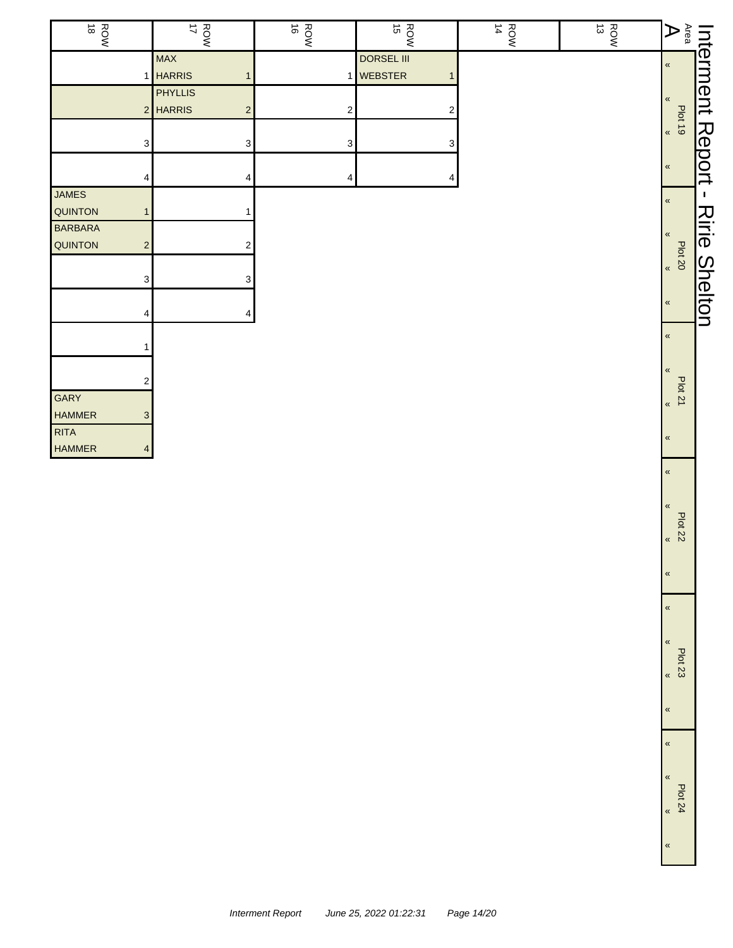| <b>ROW</b> |                         | Interment                                                                        |
|------------|-------------------------|----------------------------------------------------------------------------------|
|            | $\pmb{\kappa}$          |                                                                                  |
|            |                         |                                                                                  |
|            | $\pmb{\kappa}$          |                                                                                  |
|            |                         |                                                                                  |
|            | $\pmb{\kappa}$          |                                                                                  |
|            |                         | Report                                                                           |
|            | $\pmb{\kappa}$          |                                                                                  |
|            |                         |                                                                                  |
|            | $\pmb{\kappa}$          | H.                                                                               |
|            |                         |                                                                                  |
|            | $\pmb{\kappa}$          | スミー                                                                              |
|            |                         |                                                                                  |
|            | $\overline{\mathbf{K}}$ |                                                                                  |
|            |                         |                                                                                  |
|            | $\pmb{\kappa}$          | <b>Shelton</b>                                                                   |
|            |                         |                                                                                  |
|            | $\pmb{\kappa}$          |                                                                                  |
|            |                         |                                                                                  |
|            | $\pmb{\mathcal{R}}$     |                                                                                  |
|            |                         |                                                                                  |
|            | $\overline{\mathbf{K}}$ |                                                                                  |
|            |                         |                                                                                  |
|            | $\pmb{\mathfrak{C}}$    |                                                                                  |
|            |                         |                                                                                  |
|            | $\pmb{\kappa}$          |                                                                                  |
|            |                         | $\mathbf{A}^{\text{real}}$<br><b>Plot 19</b><br><b>Plot 20</b><br><b>Plot 21</b> |

Plot 22

«

«

«

«

«

«

«

«

«

Plot 23 «

Plot 24 «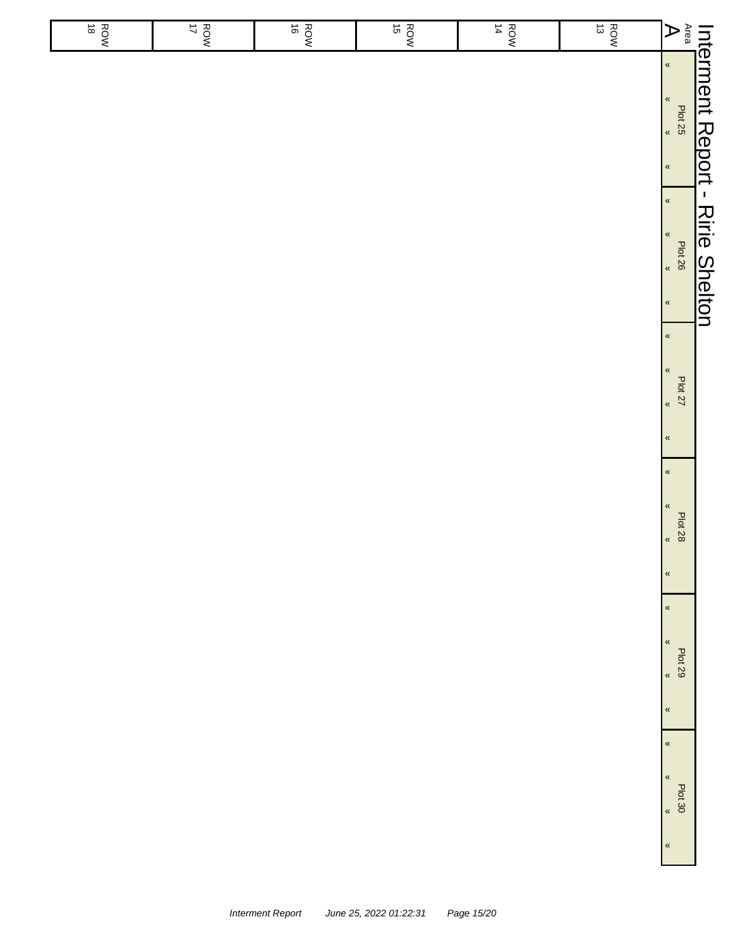|                       |                                                                      | Int <u>erment Report - Ririe Shelton</u>                           |                                                                                     |                                                                             |                                                                                      |                                         |
|-----------------------|----------------------------------------------------------------------|--------------------------------------------------------------------|-------------------------------------------------------------------------------------|-----------------------------------------------------------------------------|--------------------------------------------------------------------------------------|-----------------------------------------|
| $A^{\text{ren}}$      | $\langle \langle$<br>$\langle\!\langle$<br>Plat 25<br>$\pmb{\kappa}$ | $\pmb{\kappa}$<br>$\pmb{\kappa}$<br>Plot 26<br>,<br>$\pmb{\kappa}$ | $\pmb{\kappa}$<br>$\alpha$<br><b>Plot 27</b><br>$\langle \langle$<br>$\pmb{\kappa}$ | $\alpha$<br>$\pmb{\kappa}$<br><b>Plot 28</b><br>$\langle$<br>$\pmb{\kappa}$ | $\pmb{\kappa}$<br>$\pmb{\%}$<br>Plot 29<br>$\overline{\mathbf{K}}$<br>$\pmb{\kappa}$ | $\alpha$<br>$\pmb{\kappa}$<br>$500$ $*$ |
| $\vec{\omega}$<br>ROW |                                                                      |                                                                    |                                                                                     |                                                                             |                                                                                      |                                         |
| $\frac{1}{4}$<br>ROW  |                                                                      |                                                                    |                                                                                     |                                                                             |                                                                                      |                                         |
| $\vec{c}$<br>ROW      |                                                                      |                                                                    |                                                                                     |                                                                             |                                                                                      |                                         |
| $\vec{e}$<br>ROW      |                                                                      |                                                                    |                                                                                     |                                                                             |                                                                                      |                                         |
| ROW                   |                                                                      |                                                                    |                                                                                     |                                                                             |                                                                                      |                                         |
| $\vec{8}$<br>ROW      |                                                                      |                                                                    |                                                                                     |                                                                             |                                                                                      |                                         |
|                       |                                                                      |                                                                    |                                                                                     |                                                                             |                                                                                      |                                         |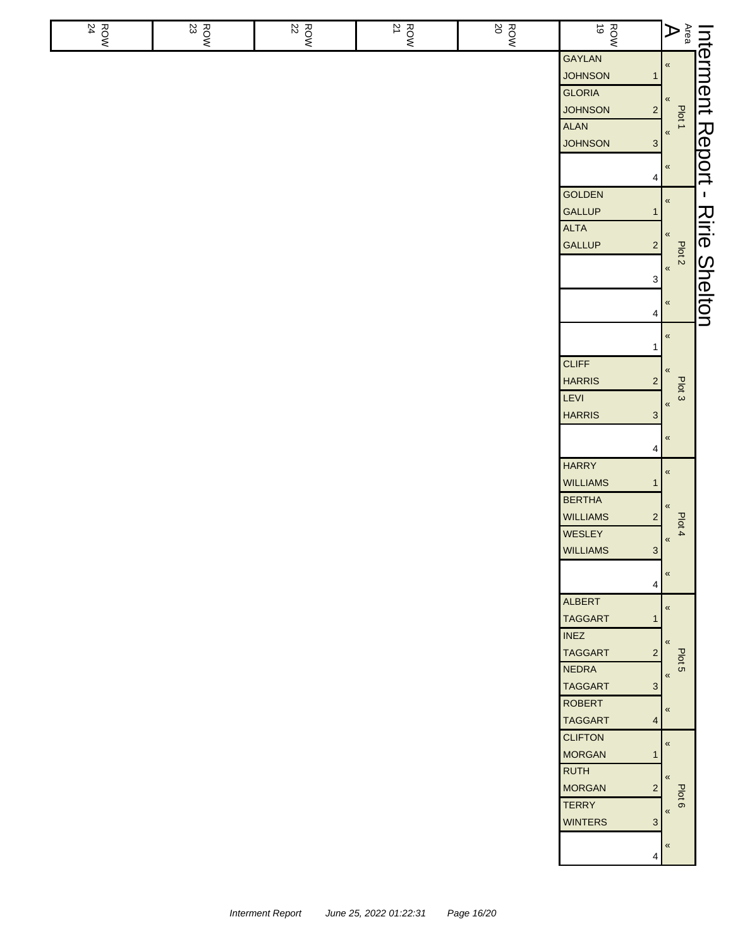| ROW<br>24 | ROW<br>23 | $\frac{ROW}{22}$ | ROW<br>21 | <b>ROW</b> | ROW<br>NOW                                         | $\begin{array}{c c c} \text{Inferment} & \text{if} & \text{if} & \text{if} & \text{if} & \text{if} & \text{if} & \text{if} & \text{if} & \text{if} & \text{if} & \text{if} & \text{if} & \text{if} & \text{if} & \text{if} & \text{if} & \text{if} & \text{if} & \text{if} & \text{if} & \text{if} & \text{if} & \text{if} & \text{if} & \text{if} & \text{if} & \text{if} & \text{if} & \text{if} & \text{if} & \text{if} & \text{if} & \text{if} & \text$ |                |
|-----------|-----------|------------------|-----------|------------|----------------------------------------------------|-------------------------------------------------------------------------------------------------------------------------------------------------------------------------------------------------------------------------------------------------------------------------------------------------------------------------------------------------------------------------------------------------------------------------------------------------------------|----------------|
|           |           |                  |           |            | <b>GAYLAN</b>                                      |                                                                                                                                                                                                                                                                                                                                                                                                                                                             |                |
|           |           |                  |           |            | <b>JOHNSON</b><br>$\mathbf 1$                      |                                                                                                                                                                                                                                                                                                                                                                                                                                                             |                |
|           |           |                  |           |            | <b>GLORIA</b>                                      |                                                                                                                                                                                                                                                                                                                                                                                                                                                             |                |
|           |           |                  |           |            | <b>JOHNSON</b><br>$\mathbf{2}$<br>ALAN             | Plot 1                                                                                                                                                                                                                                                                                                                                                                                                                                                      |                |
|           |           |                  |           |            | <b>JOHNSON</b><br>$\mathbf{3}$                     | $\,\alpha$                                                                                                                                                                                                                                                                                                                                                                                                                                                  |                |
|           |           |                  |           |            |                                                    |                                                                                                                                                                                                                                                                                                                                                                                                                                                             |                |
|           |           |                  |           |            | 4                                                  | $\pmb{\ll}$                                                                                                                                                                                                                                                                                                                                                                                                                                                 | Report         |
|           |           |                  |           |            | <b>GOLDEN</b>                                      | $\pmb{\%}$                                                                                                                                                                                                                                                                                                                                                                                                                                                  | $\mathbf{I}$   |
|           |           |                  |           |            | <b>GALLUP</b><br>1                                 |                                                                                                                                                                                                                                                                                                                                                                                                                                                             |                |
|           |           |                  |           |            | <b>ALTA</b>                                        | «                                                                                                                                                                                                                                                                                                                                                                                                                                                           | Ririe          |
|           |           |                  |           |            | <b>GALLUP</b><br>$\overline{2}$                    | Plot <sub>2</sub>                                                                                                                                                                                                                                                                                                                                                                                                                                           |                |
|           |           |                  |           |            |                                                    | $\,\,\ll$                                                                                                                                                                                                                                                                                                                                                                                                                                                   |                |
|           |           |                  |           |            | 3                                                  |                                                                                                                                                                                                                                                                                                                                                                                                                                                             |                |
|           |           |                  |           |            | 4                                                  | $\,\alpha$                                                                                                                                                                                                                                                                                                                                                                                                                                                  | <b>Shelton</b> |
|           |           |                  |           |            |                                                    | $\pmb{\kappa}$                                                                                                                                                                                                                                                                                                                                                                                                                                              |                |
|           |           |                  |           |            | 1<br><b>CLIFF</b>                                  |                                                                                                                                                                                                                                                                                                                                                                                                                                                             |                |
|           |           |                  |           |            | <b>HARRIS</b><br>$\overline{\mathbf{c}}$           | «                                                                                                                                                                                                                                                                                                                                                                                                                                                           |                |
|           |           |                  |           |            | LEVI                                               | Plot 3                                                                                                                                                                                                                                                                                                                                                                                                                                                      |                |
|           |           |                  |           |            | <b>HARRIS</b><br>$\mathbf{3}$                      | $\pmb{\ll}$                                                                                                                                                                                                                                                                                                                                                                                                                                                 |                |
|           |           |                  |           |            |                                                    | $\pmb{\ll}$                                                                                                                                                                                                                                                                                                                                                                                                                                                 |                |
|           |           |                  |           |            | 4                                                  |                                                                                                                                                                                                                                                                                                                                                                                                                                                             |                |
|           |           |                  |           |            | <b>HARRY</b>                                       | $\pmb{\%}$                                                                                                                                                                                                                                                                                                                                                                                                                                                  |                |
|           |           |                  |           |            | <b>WILLIAMS</b><br>$\mathbf 1$                     |                                                                                                                                                                                                                                                                                                                                                                                                                                                             |                |
|           |           |                  |           |            | <b>BERTHA</b>                                      | «                                                                                                                                                                                                                                                                                                                                                                                                                                                           |                |
|           |           |                  |           |            | <b>WILLIAMS</b><br>$\overline{\mathbf{c}}$         | Plot 4                                                                                                                                                                                                                                                                                                                                                                                                                                                      |                |
|           |           |                  |           |            | WESLEY<br>$\mathbf{a}$                             | $\pmb{\mathfrak{C}}$                                                                                                                                                                                                                                                                                                                                                                                                                                        |                |
|           |           |                  |           |            | <b>WILLIAMS</b>                                    |                                                                                                                                                                                                                                                                                                                                                                                                                                                             |                |
|           |           |                  |           |            | 4                                                  | «                                                                                                                                                                                                                                                                                                                                                                                                                                                           |                |
|           |           |                  |           |            | <b>ALBERT</b>                                      | $\pmb{\kappa}$                                                                                                                                                                                                                                                                                                                                                                                                                                              |                |
|           |           |                  |           |            | <b>TAGGART</b><br>1                                |                                                                                                                                                                                                                                                                                                                                                                                                                                                             |                |
|           |           |                  |           |            | <b>INEZ</b>                                        | $\ll$                                                                                                                                                                                                                                                                                                                                                                                                                                                       |                |
|           |           |                  |           |            | <b>TAGGART</b><br>$\overline{2}$                   | Plot 5                                                                                                                                                                                                                                                                                                                                                                                                                                                      |                |
|           |           |                  |           |            | <b>NEDRA</b>                                       | «                                                                                                                                                                                                                                                                                                                                                                                                                                                           |                |
|           |           |                  |           |            | <b>TAGGART</b><br>$\mathbf{3}$                     |                                                                                                                                                                                                                                                                                                                                                                                                                                                             |                |
|           |           |                  |           |            | <b>ROBERT</b>                                      | $\pmb{\ll}$                                                                                                                                                                                                                                                                                                                                                                                                                                                 |                |
|           |           |                  |           |            | <b>TAGGART</b><br>$\overline{4}$<br><b>CLIFTON</b> |                                                                                                                                                                                                                                                                                                                                                                                                                                                             |                |
|           |           |                  |           |            | <b>MORGAN</b><br>$\mathbf{1}$                      | $\pmb{\kappa}$                                                                                                                                                                                                                                                                                                                                                                                                                                              |                |
|           |           |                  |           |            | <b>RUTH</b>                                        |                                                                                                                                                                                                                                                                                                                                                                                                                                                             |                |
|           |           |                  |           |            | <b>MORGAN</b><br>$\overline{2}$                    | $\pmb{\langle} \pmb{\langle}$                                                                                                                                                                                                                                                                                                                                                                                                                               |                |
|           |           |                  |           |            | <b>TERRY</b>                                       | Plot 6<br>$\pmb{\mathcal{R}}$                                                                                                                                                                                                                                                                                                                                                                                                                               |                |
|           |           |                  |           |            | <b>WINTERS</b><br>$\mathbf{3}$                     |                                                                                                                                                                                                                                                                                                                                                                                                                                                             |                |
|           |           |                  |           |            |                                                    | $\pmb{\kappa}$                                                                                                                                                                                                                                                                                                                                                                                                                                              |                |
|           |           |                  |           |            | 4                                                  |                                                                                                                                                                                                                                                                                                                                                                                                                                                             |                |
|           |           |                  |           |            |                                                    |                                                                                                                                                                                                                                                                                                                                                                                                                                                             |                |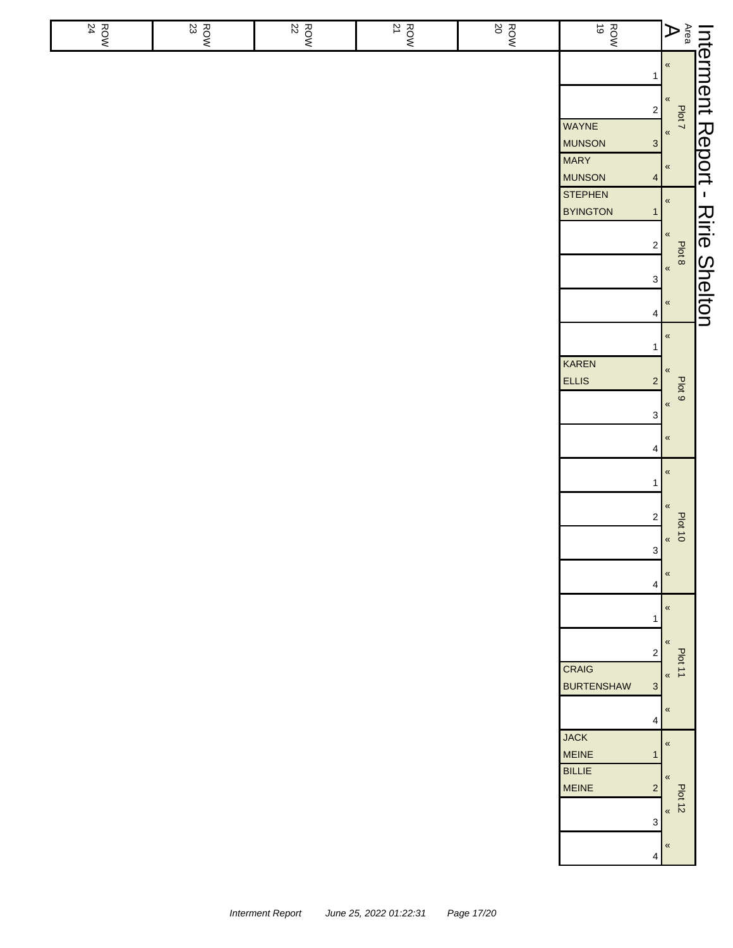| $\frac{ROW}{24}$ | $\frac{R}{2}$<br>23 | $\frac{R}{22}$ | $\frac{ROW}{21}$ | $\frac{ROW}{20}$ | ROW<br>19                                                                                                                                                                                                         | $\overline{\mathsf{A}}$                                                                                                                                                                       |                                                         |
|------------------|---------------------|----------------|------------------|------------------|-------------------------------------------------------------------------------------------------------------------------------------------------------------------------------------------------------------------|-----------------------------------------------------------------------------------------------------------------------------------------------------------------------------------------------|---------------------------------------------------------|
|                  |                     |                |                  |                  | 1<br>$\sqrt{2}$<br>WAYNE<br><b>MUNSON</b><br>$\mathbf{3}$<br><b>MARY</b><br><b>MUNSON</b><br>$\overline{4}$<br><b>STEPHEN</b><br><b>BYINGTON</b><br>$\mathbf{1}$<br>$\mathbf 2$<br>$\ensuremath{\mathsf{3}}$<br>4 | $\pmb{\mathfrak{C}}$<br>$\pmb{\kappa}$<br>Plot 7<br>$\pmb{\kappa}$<br>$\pmb{\kappa}$<br>$\pmb{\kappa}$<br>$\pmb{\mathfrak{C}}$<br>Plot <sup>8</sup><br>$\pmb{\alpha}$<br>$\pmb{\mathfrak{C}}$ | Interment Report<br>$\mathbf I$<br><b>Ririe Shelton</b> |
|                  |                     |                |                  |                  | $\mathbf{1}$<br>KAREN<br><b>ELLIS</b><br>$\sqrt{2}$<br>$\ensuremath{\mathsf{3}}$<br>4<br>$\mathbf{1}$<br>$\sqrt{2}$<br>$\mathbf 3$<br>4                                                                           | $\pmb{\kappa}$<br>$\pmb{\langle} \pmb{\langle}$<br>Plot 9<br>$\pmb{\kappa}$<br>$\pmb{\mathfrak{C}}$<br>$\pmb{\mathfrak{C}}$<br>«<br>64.10 <sup>8</sup><br>$\pmb{\mathfrak{C}}$                |                                                         |
|                  |                     |                |                  |                  | 1<br>$\sqrt{2}$<br><b>CRAIG</b><br><b>BURTENSHAW</b><br>$\mathbf{3}$<br>4<br><b>JACK</b><br><b>MEINE</b><br>$\mathbf{1}$                                                                                          | $\pmb{\ll}$<br>«<br>Plot 11<br>$\pmb{\kappa}$<br>$\pmb{\kappa}$<br>$\pmb{\kappa}$                                                                                                             |                                                         |
|                  |                     |                |                  |                  | <b>BILLIE</b><br><b>MEINE</b><br>$\overline{c}$<br>$\mathsf 3$<br>$\overline{4}$                                                                                                                                  | $\pmb{\langle} \pmb{\langle}$<br><b>Plot 12</b><br>$\langle\!\langle$<br>$\pmb{\mathfrak{C}}$                                                                                                 |                                                         |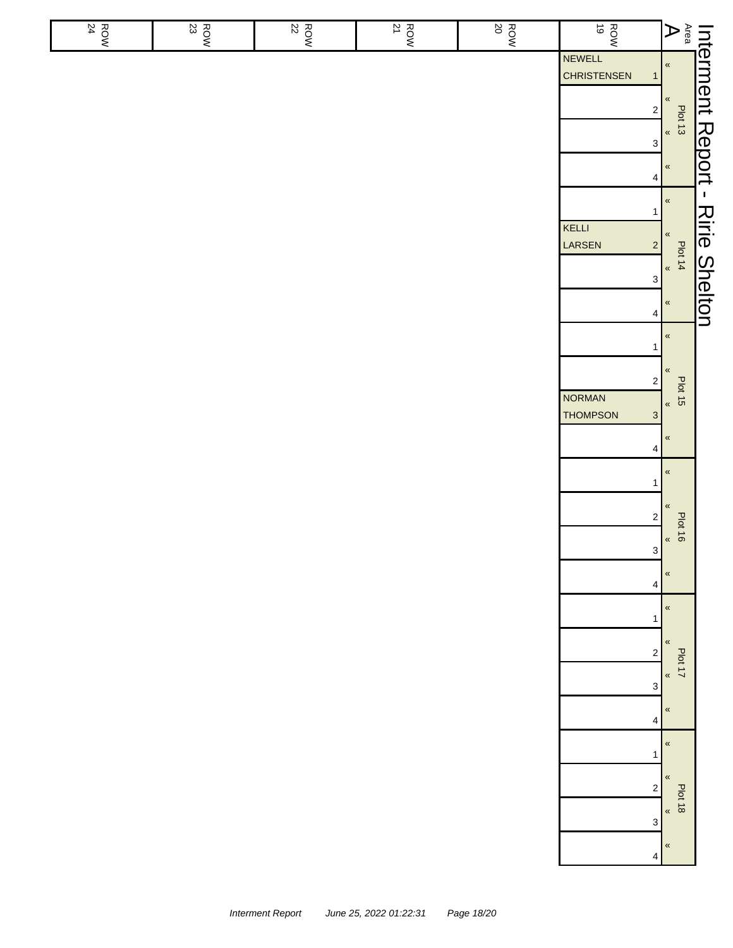| ROW<br>24 | $\frac{\text{Row}}{\text{23}}$ | $\frac{ROW}{22}$ | $\frac{ROW}{21}$ | <b>ROW</b><br>20 | <b>ROW</b>                                   |                                                                                                                                                               |                      |
|-----------|--------------------------------|------------------|------------------|------------------|----------------------------------------------|---------------------------------------------------------------------------------------------------------------------------------------------------------------|----------------------|
|           |                                |                  |                  |                  | NEWELL<br><b>CHRISTENSEN</b><br>$\mathbf{1}$ | $\left\  \begin{matrix} \mathsf{Interment}\ \mathsf{Ren} \ \mathsf{Ren} \ \mathsf{Gen} \ \mathsf{Gen} \ \mathsf{Gen} \end{matrix} \right\ _{\mathsf{H}^{13}}$ |                      |
|           |                                |                  |                  |                  | $2\vert$                                     |                                                                                                                                                               |                      |
|           |                                |                  |                  |                  | $\ensuremath{\mathsf{3}}$                    |                                                                                                                                                               |                      |
|           |                                |                  |                  |                  | 4                                            |                                                                                                                                                               |                      |
|           |                                |                  |                  |                  | $\mathbf{1}$<br>KELLI                        | $\pmb{\kappa}$                                                                                                                                                |                      |
|           |                                |                  |                  |                  | LARSEN<br>$\left  \frac{2}{3} \right $       | $\pmb{\kappa}$<br>Plot 14<br>$\frac{4}{1}$                                                                                                                    | <b>Ririe Shelton</b> |
|           |                                |                  |                  |                  | $\ensuremath{\mathsf{3}}$                    |                                                                                                                                                               |                      |
|           |                                |                  |                  |                  | 4                                            | $\pmb{\kappa}$                                                                                                                                                |                      |
|           |                                |                  |                  |                  | $\mathbf{1}$                                 | $\pmb{\mathcal{R}}$                                                                                                                                           |                      |
|           |                                |                  |                  |                  | $\overline{\mathbf{c}}$<br><b>NORMAN</b>     | $\pmb{\mathcal{R}}$<br>$\frac{1}{2}$<br>st told                                                                                                               |                      |
|           |                                |                  |                  |                  | <b>THOMPSON</b><br>3                         |                                                                                                                                                               |                      |
|           |                                |                  |                  |                  | 4                                            | $\pmb{\kappa}$<br>$\pmb{\mathcal{R}}$                                                                                                                         |                      |
|           |                                |                  |                  |                  | 1                                            | $\pmb{\%}$                                                                                                                                                    |                      |
|           |                                |                  |                  |                  | $\mathbf 2$                                  | <b>Plot 16</b><br>$\pmb{\mathcal{R}}$                                                                                                                         |                      |
|           |                                |                  |                  |                  | $\ensuremath{\mathsf{3}}$                    | $\pmb{\mathcal{R}}$                                                                                                                                           |                      |
|           |                                |                  |                  |                  | 4                                            | $\pmb{\mathcal{R}}$                                                                                                                                           |                      |
|           |                                |                  |                  |                  | 1                                            | $\pmb{\mathcal{R}}$                                                                                                                                           |                      |
|           |                                |                  |                  |                  | 2                                            | Plot 17<br>«                                                                                                                                                  |                      |
|           |                                |                  |                  |                  | 3                                            | $\pmb{\%}$                                                                                                                                                    |                      |
|           |                                |                  |                  |                  | 4                                            | «                                                                                                                                                             |                      |
|           |                                |                  |                  |                  | 1<br>$\overline{\mathbf{c}}$                 | $\pmb{\kappa}$                                                                                                                                                |                      |
|           |                                |                  |                  |                  | 3                                            | $\frac{1}{8}$<br>8 k 10 ld                                                                                                                                    |                      |
|           |                                |                  |                  |                  | 4                                            | $\boldsymbol{\kappa}$                                                                                                                                         |                      |
|           |                                |                  |                  |                  |                                              |                                                                                                                                                               |                      |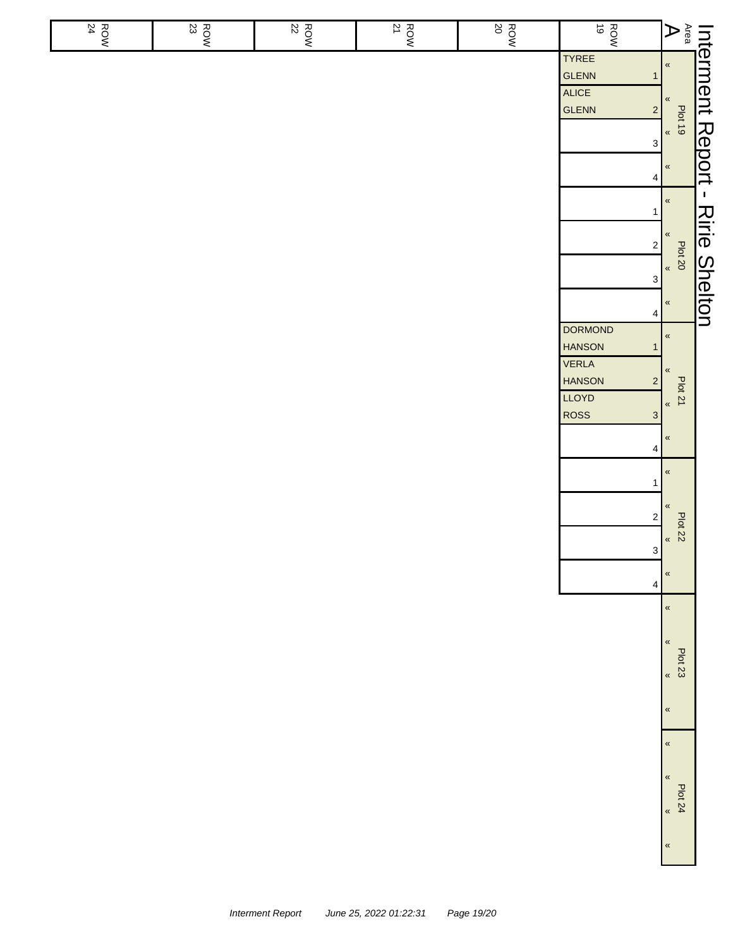| ROW<br>24 | $\begin{array}{c}\n\hline\n\text{Row} \\ 23\n\end{array}$ | $\begin{array}{c}\n\hline\n\text{Row} \\ 22\n\end{array}$ | $\frac{ROW}{21}$ | $\begin{array}{c}\n\hline\n\text{ROW} \\ \hline\n20\n\end{array}$ | ROW<br>NOW                                                                                                                                                  |                                                                                                                                                                                                                                  |                      |
|-----------|-----------------------------------------------------------|-----------------------------------------------------------|------------------|-------------------------------------------------------------------|-------------------------------------------------------------------------------------------------------------------------------------------------------------|----------------------------------------------------------------------------------------------------------------------------------------------------------------------------------------------------------------------------------|----------------------|
|           |                                                           |                                                           |                  |                                                                   | TYREE<br>GLENN<br>$\mathbf{1}$<br>ALICE<br>GLENN<br>$\overline{c}$<br>$\mathbf{3}$                                                                          | Interment Report -<br>Ass Pletts - All - All - All - All - All - All - All - All - All - All - All - All - All - All - All - All - All - All - All - All - All - All - All - All - All - All - All - All - All - All - All - All |                      |
|           |                                                           |                                                           |                  |                                                                   | $\overline{4}$<br>1<br>$\overline{\mathbf{c}}$<br>3 <sup>1</sup><br>$\overline{\mathbf{4}}$                                                                 | $\pmb{\kappa}$<br>$\,\,\ll$<br>Plot 20<br>$\,\,\ll$                                                                                                                                                                              | <b>Ririe Shelton</b> |
|           |                                                           |                                                           |                  |                                                                   | <b>DORMOND</b><br><b>HANSON</b><br>$\mathbf{1}$<br><b>VERLA</b><br><b>HANSON</b><br>$\mathbf 2$<br>LLOYD<br>ROSS<br>$\mathbf{3}$<br>$\overline{\mathbf{4}}$ | $\pmb{\ll}$<br>«<br><b>Plot 21</b><br>$\pmb{\kappa}$<br>$\,\alpha$                                                                                                                                                               |                      |
|           |                                                           |                                                           |                  |                                                                   | 1<br>$\overline{\mathbf{c}}$<br>3<br>4                                                                                                                      | $\,\alpha$<br>«<br>Plot 22<br>$\,\,$ $\,\,$<br>$\,\alpha$                                                                                                                                                                        |                      |
|           |                                                           |                                                           |                  |                                                                   |                                                                                                                                                             | $\pmb{\kappa}$<br>$\pmb{\ll}$<br><b>Plot 23</b><br>$\pmb{\kappa}$<br>$\pmb{\kappa}$                                                                                                                                              |                      |
|           |                                                           |                                                           |                  |                                                                   |                                                                                                                                                             | $\pmb{\kappa}$<br>$\pmb{\kappa}$<br><b>Plot 24</b><br>$\pmb{\kappa}$<br>$\,\,\ll$                                                                                                                                                |                      |